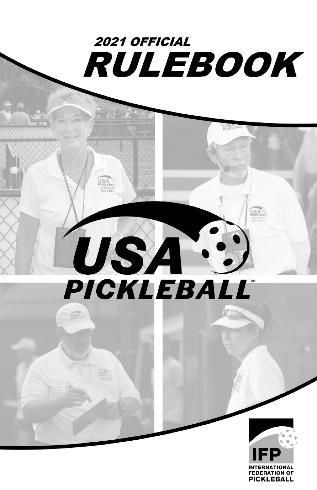

**USA** 

USA<sup>.</sup>

# USA PICKLEBALL®

**USA** 

USA.

USA.

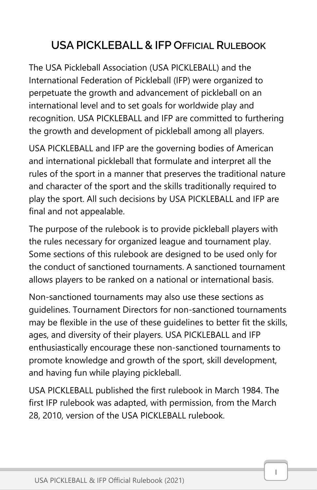# USA PICKLEBALL & IFP OFFICIAL RULEBOOK

The USA Pickleball Association (USA PICKLEBALL) and the International Federation of Pickleball (IFP) were organized to perpetuate the growth and advancement of pickleball on an international level and to set goals for worldwide play and recognition. USA PICKLEBALL and IFP are committed to furthering the growth and development of pickleball among all players.

USA PICKLEBALL and IFP are the governing bodies of American and international pickleball that formulate and interpret all the rules of the sport in a manner that preserves the traditional nature and character of the sport and the skills traditionally required to play the sport. All such decisions by USA PICKLEBALL and IFP are final and not appealable.

The purpose of the rulebook is to provide pickleball players with the rules necessary for organized league and tournament play. Some sections of this rulebook are designed to be used only for the conduct of sanctioned tournaments. A sanctioned tournament allows players to be ranked on a national or international basis.

Non-sanctioned tournaments may also use these sections as guidelines. Tournament Directors for non-sanctioned tournaments may be flexible in the use of these guidelines to better fit the skills, ages, and diversity of their players. USA PICKLEBALL and IFP enthusiastically encourage these non-sanctioned tournaments to promote knowledge and growth of the sport, skill development, and having fun while playing pickleball.

USA PICKLEBALL published the first rulebook in March 1984. The first IFP rulebook was adapted, with permission, from the March 28, 2010, version of the USA PICKLEBALL rulebook.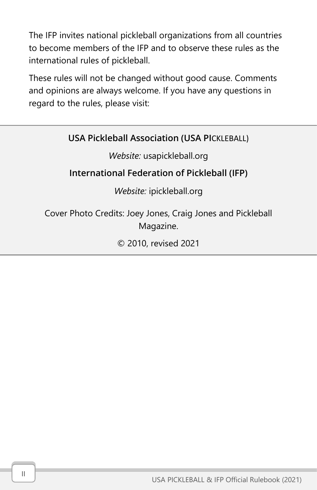The IFP invites national pickleball organizations from all countries to become members of the IFP and to observe these rules as the international rules of pickleball.

These rules will not be changed without good cause. Comments and opinions are always welcome. If you have any questions in regard to the rules, please visit:

## USA Pickleball Association (USA PICKLEBALL)

#### *Website:* [usapickleball.org](https://d.docs.live.net/2e4cd7f38f24dc10/Desktop/usapickleball.org)

## International Federation of Pickleball (IFP)

## *Website:* ipickleball.org

Cover Photo Credits: Joey Jones, Craig Jones and Pickleball Magazine.

© 2010, revised 2021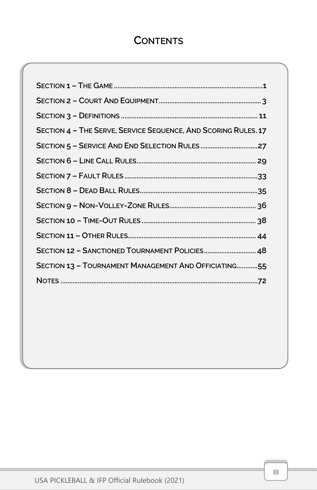## **CONTENTS**

| SECTION 4 - THE SERVE, SERVICE SEQUENCE, AND SCORING RULES. 17 |
|----------------------------------------------------------------|
|                                                                |
|                                                                |
|                                                                |
|                                                                |
|                                                                |
|                                                                |
|                                                                |
| SECTION 12 - SANCTIONED TOURNAMENT POLICIES 48                 |
| SECTION 13 - TOURNAMENT MANAGEMENT AND OFFICIATING55           |
|                                                                |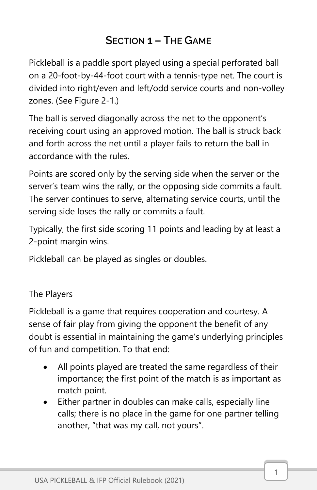# SECTION 1 – THE GAME

<span id="page-6-0"></span>Pickleball is a paddle sport played using a special perforated ball on a 20-foot-by-44-foot court with a tennis-type net. The court is divided into right/even and left/odd service courts and non-volley zones. (See Figure 2-1.)

The ball is served diagonally across the net to the opponent's receiving court using an approved motion. The ball is struck back and forth across the net until a player fails to return the ball in accordance with the rules.

Points are scored only by the serving side when the server or the server's team wins the rally, or the opposing side commits a fault. The server continues to serve, alternating service courts, until the serving side loses the rally or commits a fault.

Typically, the first side scoring 11 points and leading by at least a 2-point margin wins.

Pickleball can be played as singles or doubles.

The Players

Pickleball is a game that requires cooperation and courtesy. A sense of fair play from giving the opponent the benefit of any doubt is essential in maintaining the game's underlying principles of fun and competition. To that end:

- All points played are treated the same regardless of their importance; the first point of the match is as important as match point.
- Either partner in doubles can make calls, especially line calls; there is no place in the game for one partner telling another, "that was my call, not yours".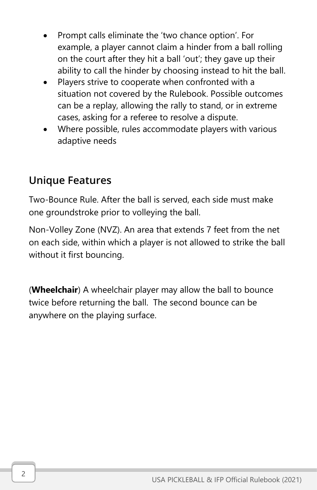- Prompt calls eliminate the 'two chance option'. For example, a player cannot claim a hinder from a ball rolling on the court after they hit a ball 'out'; they gave up their ability to call the hinder by choosing instead to hit the ball.
- Players strive to cooperate when confronted with a situation not covered by the Rulebook. Possible outcomes can be a replay, allowing the rally to stand, or in extreme cases, asking for a referee to resolve a dispute.
- Where possible, rules accommodate players with various adaptive needs

# Unique Features

Two-Bounce Rule. After the ball is served, each side must make one groundstroke prior to volleying the ball.

Non-Volley Zone (NVZ). An area that extends 7 feet from the net on each side, within which a player is not allowed to strike the ball without it first bouncing.

(**Wheelchair**) A wheelchair player may allow the ball to bounce twice before returning the ball. The second bounce can be anywhere on the playing surface.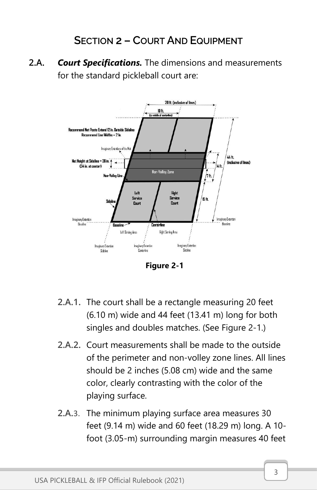## SECTION 2 – COURT AND EQUIPMENT

<span id="page-8-0"></span>2.A. *Court Specifications.* The dimensions and measurements for the standard pickleball court are:



**Figure 2-1**

- 2.A.1. The court shall be a rectangle measuring 20 feet (6.10 m) wide and 44 feet (13.41 m) long for both singles and doubles matches. (See Figure 2-1.)
- 2.A.2. Court measurements shall be made to the outside of the perimeter and non-volley zone lines. All lines should be 2 inches (5.08 cm) wide and the same color, clearly contrasting with the color of the playing surface.
- 2.A.3. The minimum playing surface area measures 30 feet (9.14 m) wide and 60 feet (18.29 m) long. A 10 foot (3.05-m) surrounding margin measures 40 feet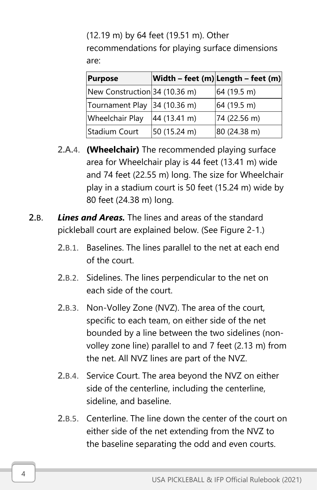(12.19 m) by 64 feet (19.51 m). Other recommendations for playing surface dimensions are:

| <b>Purpose</b>                |              | Width - feet (m) Length - feet (m) |
|-------------------------------|--------------|------------------------------------|
| New Construction 34 (10.36 m) |              | 64 (19.5 m)                        |
| Tournament Play 34 (10.36 m)  |              | 64(19.5 m)                         |
| <b>Wheelchair Play</b>        | 44 (13.41 m) | 74 (22.56 m)                       |
| Stadium Court                 | 50 (15.24 m) | 80 (24.38 m)                       |

- 2.A.4. **(Wheelchair)** The recommended playing surface area for Wheelchair play is 44 feet (13.41 m) wide and 74 feet (22.55 m) long. The size for Wheelchair play in a stadium court is 50 feet (15.24 m) wide by 80 feet (24.38 m) long.
- 2.B. *Lines and Areas.* The lines and areas of the standard pickleball court are explained below. (See Figure 2-1.)
	- 2.B.1. Baselines. The lines parallel to the net at each end of the court.
	- 2.B.2. Sidelines. The lines perpendicular to the net on each side of the court.
	- 2.B.3. Non-Volley Zone (NVZ). The area of the court, specific to each team, on either side of the net bounded by a line between the two sidelines (nonvolley zone line) parallel to and 7 feet (2.13 m) from the net. All NVZ lines are part of the NVZ.
	- 2.B.4. Service Court. The area beyond the NVZ on either side of the centerline, including the centerline, sideline, and baseline.
	- 2.B.5. Centerline. The line down the center of the court on either side of the net extending from the NVZ to the baseline separating the odd and even courts.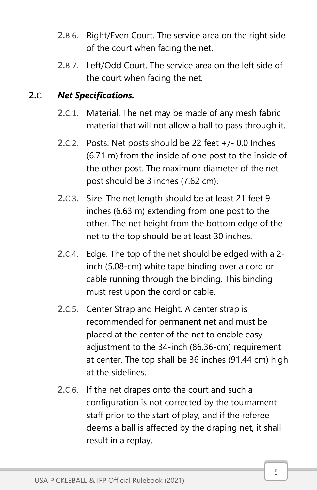- 2.B.6. Right/Even Court. The service area on the right side of the court when facing the net.
- 2.B.7. Left/Odd Court. The service area on the left side of the court when facing the net.

#### 2.C. *Net Specifications.*

- 2.C.1. Material. The net may be made of any mesh fabric material that will not allow a ball to pass through it.
- 2.C.2. Posts. Net posts should be 22 feet +/- 0.0 Inches (6.71 m) from the inside of one post to the inside of the other post. The maximum diameter of the net post should be 3 inches (7.62 cm).
- 2.C.3. Size. The net length should be at least 21 feet 9 inches (6.63 m) extending from one post to the other. The net height from the bottom edge of the net to the top should be at least 30 inches.
- 2.C.4. Edge. The top of the net should be edged with a 2 inch (5.08-cm) white tape binding over a cord or cable running through the binding. This binding must rest upon the cord or cable.
- 2.C.5. Center Strap and Height. A center strap is recommended for permanent net and must be placed at the center of the net to enable easy adjustment to the 34-inch (86.36-cm) requirement at center. The top shall be 36 inches (91.44 cm) high at the sidelines.
- 2.C.6. If the net drapes onto the court and such a configuration is not corrected by the tournament staff prior to the start of play, and if the referee deems a ball is affected by the draping net, it shall result in a replay.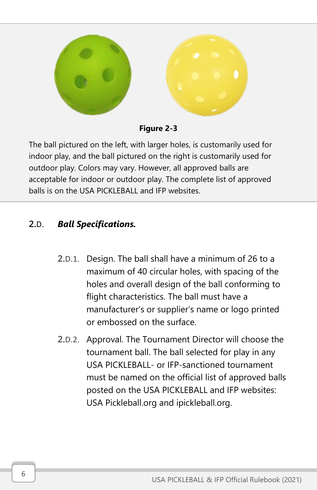

**Figure 2-3**

The ball pictured on the left, with larger holes, is customarily used for indoor play, and the ball pictured on the right is customarily used for outdoor play. Colors may vary. However, all approved balls are acceptable for indoor or outdoor play. The complete list of approved balls is on the USA PICKLEBALL and IFP websites.

## 2.D. *Ball Specifications.*

- 2.D.1. Design. The ball shall have a minimum of 26 to a maximum of 40 circular holes, with spacing of the holes and overall design of the ball conforming to flight characteristics. The ball must have a manufacturer's or supplier's name or logo printed or embossed on the surface.
- 2.D.2. Approval. The Tournament Director will choose the tournament ball. The ball selected for play in any USA PICKLEBALL- or IFP-sanctioned tournament must be named on the official list of approved balls posted on the USA PICKLEBALL and IFP websites: USA Pickleball.org and ipickleball.org.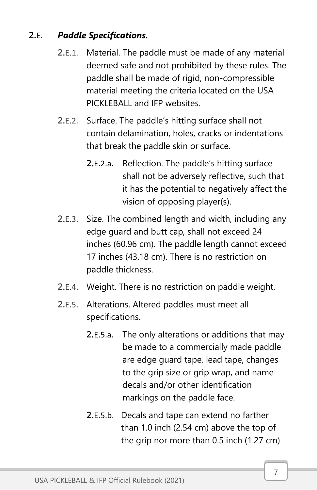## 2.E. *Paddle Specifications.*

- 2.E.1. Material. The paddle must be made of any material deemed safe and not prohibited by these rules. The paddle shall be made of rigid, non-compressible material meeting the criteria located on the USA PICKLEBALL and IFP websites.
- 2.E.2. Surface. The paddle's hitting surface shall not contain delamination, holes, cracks or indentations that break the paddle skin or surface.
	- 2.E.2.a. Reflection. The paddle's hitting surface shall not be adversely reflective, such that it has the potential to negatively affect the vision of opposing player(s).
- 2.E.3. Size. The combined length and width, including any edge guard and butt cap, shall not exceed 24 inches (60.96 cm). The paddle length cannot exceed 17 inches (43.18 cm). There is no restriction on paddle thickness.
- 2.E.4. Weight. There is no restriction on paddle weight.
- 2.E.5. Alterations. Altered paddles must meet all specifications.
	- 2.E.5.a. The only alterations or additions that may be made to a commercially made paddle are edge guard tape, lead tape, changes to the grip size or grip wrap, and name decals and/or other identification markings on the paddle face.
	- 2.E.5.b. Decals and tape can extend no farther than 1.0 inch (2.54 cm) above the top of the grip nor more than 0.5 inch (1.27 cm)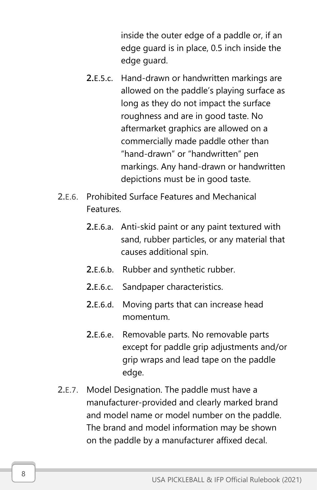inside the outer edge of a paddle or, if an edge guard is in place, 0.5 inch inside the edge guard.

- 2.E.5.c. Hand-drawn or handwritten markings are allowed on the paddle's playing surface as long as they do not impact the surface roughness and are in good taste. No aftermarket graphics are allowed on a commercially made paddle other than "hand-drawn" or "handwritten" pen markings. Any hand-drawn or handwritten depictions must be in good taste.
- 2.E.6. Prohibited Surface Features and Mechanical **Features** 
	- 2.E.6.a. Anti-skid paint or any paint textured with sand, rubber particles, or any material that causes additional spin.
	- 2.E.6.b. Rubber and synthetic rubber.
	- 2.E.6.c. Sandpaper characteristics.
	- 2.E.6.d. Moving parts that can increase head momentum.
	- 2.E.6.e. Removable parts. No removable parts except for paddle grip adjustments and/or grip wraps and lead tape on the paddle edge.
- 2.E.7. Model Designation. The paddle must have a manufacturer-provided and clearly marked brand and model name or model number on the paddle. The brand and model information may be shown on the paddle by a manufacturer affixed decal.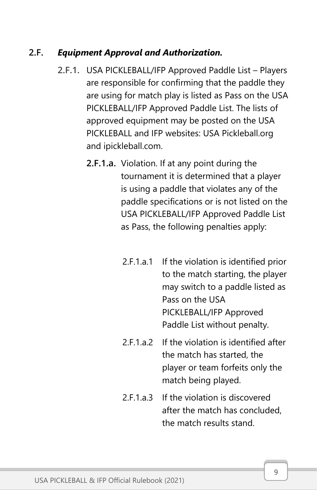#### 2.F. *Equipment Approval and Authorization.*

- 2.F.1. USA PICKLEBALL/IFP Approved Paddle List Players are responsible for confirming that the paddle they are using for match play is listed as Pass on the USA PICKLEBALL/IFP Approved Paddle List. The lists of approved equipment may be posted on the USA PICKLEBALL and IFP websites: USA Pickleball.org and ipickleball.com.
	- 2.F.1.a. Violation. If at any point during the tournament it is determined that a player is using a paddle that violates any of the paddle specifications or is not listed on the USA PICKLEBALL/IFP Approved Paddle List as Pass, the following penalties apply:
		- 2.F.1.a.1 If the violation is identified prior to the match starting, the player may switch to a paddle listed as Pass on the USA PICKLEBALL/IFP Approved Paddle List without penalty.
		- 2.F.1.a.2 If the violation is identified after the match has started, the player or team forfeits only the match being played.
		- 2.F.1.a.3 If the violation is discovered after the match has concluded, the match results stand.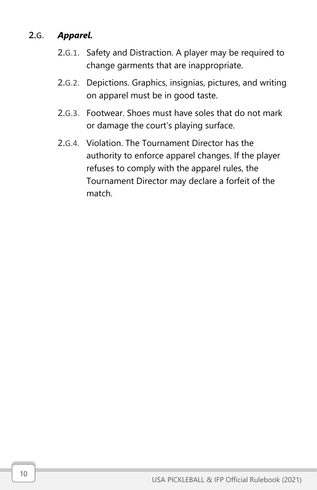#### 2.G. *Apparel.*

- 2.G.1. Safety and Distraction. A player may be required to change garments that are inappropriate.
- 2.G.2. Depictions. Graphics, insignias, pictures, and writing on apparel must be in good taste.
- 2.G.3. Footwear. Shoes must have soles that do not mark or damage the court's playing surface.
- 2.G.4. Violation. The Tournament Director has the authority to enforce apparel changes. If the player refuses to comply with the apparel rules, the Tournament Director may declare a forfeit of the match.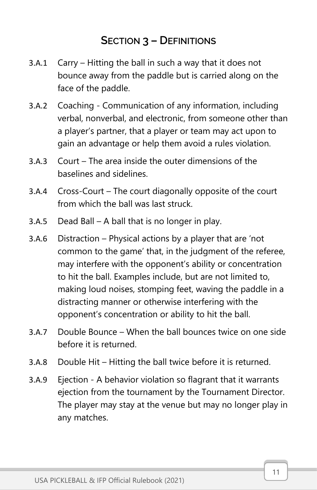## SECTION 3 – DEFINITIONS

- <span id="page-16-0"></span>3.A.1 Carry – Hitting the ball in such a way that it does not bounce away from the paddle but is carried along on the face of the paddle.
- 3.A.2 Coaching Communication of any information, including verbal, nonverbal, and electronic, from someone other than a player's partner, that a player or team may act upon to gain an advantage or help them avoid a rules violation.
- 3.A.3 Court The area inside the outer dimensions of the baselines and sidelines.
- 3.A.4 Cross-Court The court diagonally opposite of the court from which the ball was last struck.
- 3.A.5 Dead Ball A ball that is no longer in play.
- 3.A.6 Distraction Physical actions by a player that are 'not common to the game' that, in the judgment of the referee, may interfere with the opponent's ability or concentration to hit the ball. Examples include, but are not limited to, making loud noises, stomping feet, waving the paddle in a distracting manner or otherwise interfering with the opponent's concentration or ability to hit the ball.
- 3.A.7 Double Bounce When the ball bounces twice on one side before it is returned.
- 3.A.8 Double Hit Hitting the ball twice before it is returned.
- 3.A.9 Ejection A behavior violation so flagrant that it warrants ejection from the tournament by the Tournament Director. The player may stay at the venue but may no longer play in any matches.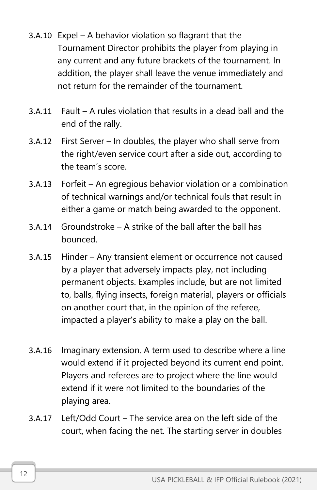- 3.A.10 Expel A behavior violation so flagrant that the Tournament Director prohibits the player from playing in any current and any future brackets of the tournament. In addition, the player shall leave the venue immediately and not return for the remainder of the tournament.
- 3.A.11 Fault A rules violation that results in a dead ball and the end of the rally.
- 3.A.12 First Server In doubles, the player who shall serve from the right/even service court after a side out, according to the team's score.
- 3.A.13 Forfeit An egregious behavior violation or a combination of technical warnings and/or technical fouls that result in either a game or match being awarded to the opponent.
- 3.A.14 Groundstroke A strike of the ball after the ball has bounced.
- 3.A.15 Hinder Any transient element or occurrence not caused by a player that adversely impacts play, not including permanent objects. Examples include, but are not limited to, balls, flying insects, foreign material, players or officials on another court that, in the opinion of the referee, impacted a player's ability to make a play on the ball.
- 3.A.16 Imaginary extension. A term used to describe where a line would extend if it projected beyond its current end point. Players and referees are to project where the line would extend if it were not limited to the boundaries of the playing area.
- 3.A.17 Left/Odd Court The service area on the left side of the court, when facing the net. The starting server in doubles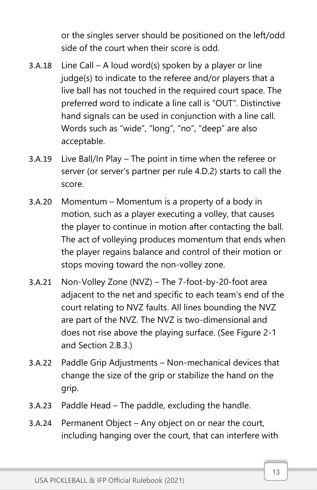or the singles server should be positioned on the left/odd side of the court when their score is odd.

- 3.A.18 Line Call A loud word(s) spoken by a player or line judge(s) to indicate to the referee and/or players that a live ball has not touched in the required court space. The preferred word to indicate a line call is "OUT". Distinctive hand signals can be used in conjunction with a line call. Words such as "wide", "long", "no", "deep" are also acceptable.
- 3.A.19 Live Ball/In Play The point in time when the referee or server (or server's partner per rule 4.D.2) starts to call the score.
- 3.A.20 Momentum Momentum is a property of a body in motion, such as a player executing a volley, that causes the player to continue in motion after contacting the ball. The act of volleying produces momentum that ends when the player regains balance and control of their motion or stops moving toward the non-volley zone.
- 3.A.21 Non-Volley Zone (NVZ) The 7-foot-by-20-foot area adjacent to the net and specific to each team's end of the court relating to NVZ faults. All lines bounding the NVZ are part of the NVZ. The NVZ is two-dimensional and does not rise above the playing surface. (See Figure 2-1 and Section 2.B.3.)
- 3.A.22 Paddle Grip Adjustments Non-mechanical devices that change the size of the grip or stabilize the hand on the grip.
- 3.A.23 Paddle Head The paddle, excluding the handle.
- 3.A.24 Permanent Object Any object on or near the court, including hanging over the court, that can interfere with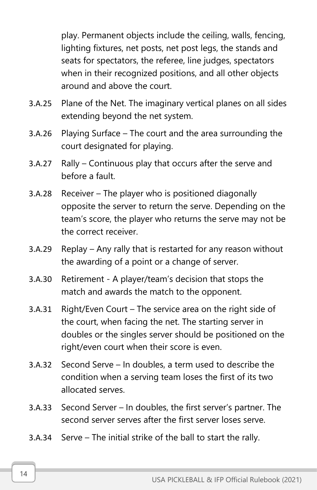play. Permanent objects include the ceiling, walls, fencing, lighting fixtures, net posts, net post legs, the stands and seats for spectators, the referee, line judges, spectators when in their recognized positions, and all other objects around and above the court.

- 3.A.25 Plane of the Net. The imaginary vertical planes on all sides extending beyond the net system.
- 3.A.26 Playing Surface The court and the area surrounding the court designated for playing.
- 3.A.27 Rally Continuous play that occurs after the serve and before a fault.
- 3.A.28 Receiver The player who is positioned diagonally opposite the server to return the serve. Depending on the team's score, the player who returns the serve may not be the correct receiver.
- 3.A.29 Replay Any rally that is restarted for any reason without the awarding of a point or a change of server.
- 3.A.30 Retirement A player/team's decision that stops the match and awards the match to the opponent.
- 3.A.31 Right/Even Court The service area on the right side of the court, when facing the net. The starting server in doubles or the singles server should be positioned on the right/even court when their score is even.
- 3.A.32 Second Serve In doubles, a term used to describe the condition when a serving team loses the first of its two allocated serves.
- 3.A.33 Second Server In doubles, the first server's partner. The second server serves after the first server loses serve.
- 3.A.34 Serve The initial strike of the ball to start the rally.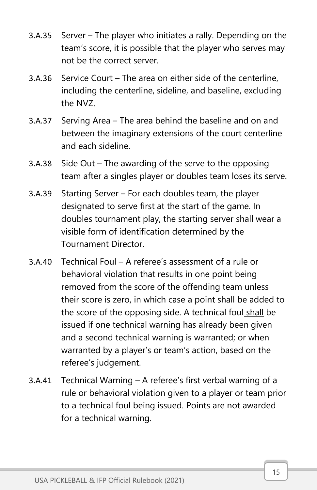- 3.A.35 Server The player who initiates a rally. Depending on the team's score, it is possible that the player who serves may not be the correct server.
- 3.A.36 Service Court The area on either side of the centerline, including the centerline, sideline, and baseline, excluding the NVZ.
- 3.A.37 Serving Area The area behind the baseline and on and between the imaginary extensions of the court centerline and each sideline.
- 3.A.38 Side Out The awarding of the serve to the opposing team after a singles player or doubles team loses its serve.
- 3.A.39 Starting Server For each doubles team, the player designated to serve first at the start of the game. In doubles tournament play, the starting server shall wear a visible form of identification determined by the Tournament Director.
- 3.A.40 Technical Foul A referee's assessment of a rule or behavioral violation that results in one point being removed from the score of the offending team unless their score is zero, in which case a point shall be added to the score of the opposing side. A technical foul shall be issued if one technical warning has already been given and a second technical warning is warranted; or when warranted by a player's or team's action, based on the referee's judgement.
- 3.A.41 Technical Warning A referee's first verbal warning of a rule or behavioral violation given to a player or team prior to a technical foul being issued. Points are not awarded for a technical warning.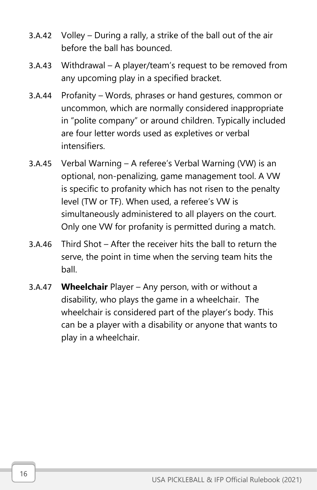- 3.A.42 Volley During a rally, a strike of the ball out of the air before the ball has bounced.
- 3.A.43 Withdrawal A player/team's request to be removed from any upcoming play in a specified bracket.
- 3.A.44 Profanity Words, phrases or hand gestures, common or uncommon, which are normally considered inappropriate in "polite company" or around children. Typically included are four letter words used as expletives or verbal intensifiers.
- 3.A.45 Verbal Warning A referee's Verbal Warning (VW) is an optional, non-penalizing, game management tool. A VW is specific to profanity which has not risen to the penalty level (TW or TF). When used, a referee's VW is simultaneously administered to all players on the court. Only one VW for profanity is permitted during a match.
- 3.A.46 Third Shot After the receiver hits the ball to return the serve, the point in time when the serving team hits the ball.
- 3.A.47 **Wheelchair** Player Any person, with or without a disability, who plays the game in a wheelchair. The wheelchair is considered part of the player's body. This can be a player with a disability or anyone that wants to play in a wheelchair.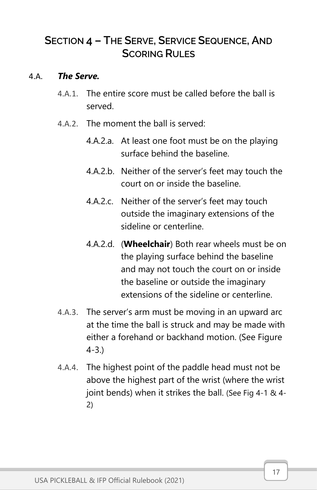## <span id="page-22-0"></span>SECTION 4 – THE SERVE, SERVICE SEQUENCE, AND **SCORING RULES**

#### 4.A. *The Serve.*

- 4.A.1. The entire score must be called before the ball is served.
- 4.A.2. The moment the ball is served:
	- 4.A.2.a. At least one foot must be on the playing surface behind the baseline.
	- 4.A.2.b. Neither of the server's feet may touch the court on or inside the baseline.
	- 4.A.2.c. Neither of the server's feet may touch outside the imaginary extensions of the sideline or centerline.
	- 4.A.2.d. (**Wheelchair**) Both rear wheels must be on the playing surface behind the baseline and may not touch the court on or inside the baseline or outside the imaginary extensions of the sideline or centerline.
- 4.A.3. The server's arm must be moving in an upward arc at the time the ball is struck and may be made with either a forehand or backhand motion. (See Figure 4-3.)
- 4.A.4. The highest point of the paddle head must not be above the highest part of the wrist (where the wrist joint bends) when it strikes the ball. (See Fig 4-1 & 4- 2)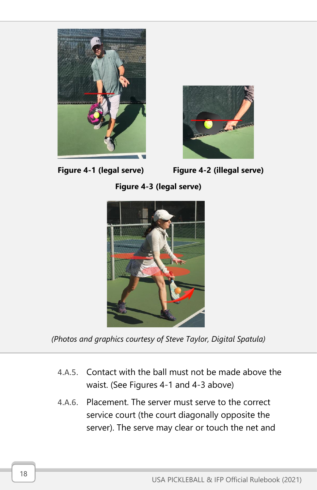



**Figure 4-3 (legal serve)**



*(Photos and graphics courtesy of Steve Taylor, Digital Spatula)*

- 4.A.5. Contact with the ball must not be made above the waist. (See Figures 4-1 and 4-3 above)
- 4.A.6. Placement. The server must serve to the correct service court (the court diagonally opposite the server). The serve may clear or touch the net and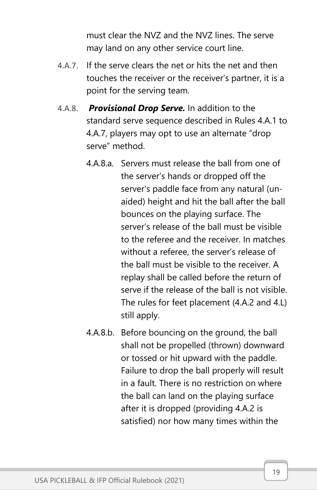must clear the NVZ and the NVZ lines. The serve may land on any other service court line.

- 4.A.7. If the serve clears the net or hits the net and then touches the receiver or the receiver's partner, it is a point for the serving team.
- 4.A.8. *Provisional Drop Serve.* In addition to the standard serve sequence described in Rules 4.A.1 to 4.A.7, players may opt to use an alternate "drop serve" method.
	- 4.A.8.a. Servers must release the ball from one of the server's hands or dropped off the server's paddle face from any natural (unaided) height and hit the ball after the ball bounces on the playing surface. The server's release of the ball must be visible to the referee and the receiver. In matches without a referee, the server's release of the ball must be visible to the receiver. A replay shall be called before the return of serve if the release of the ball is not visible. The rules for feet placement (4.A.2 and 4.L) still apply.
	- 4.A.8.b. Before bouncing on the ground, the ball shall not be propelled (thrown) downward or tossed or hit upward with the paddle. Failure to drop the ball properly will result in a fault. There is no restriction on where the ball can land on the playing surface after it is dropped (providing 4.A.2 is satisfied) nor how many times within the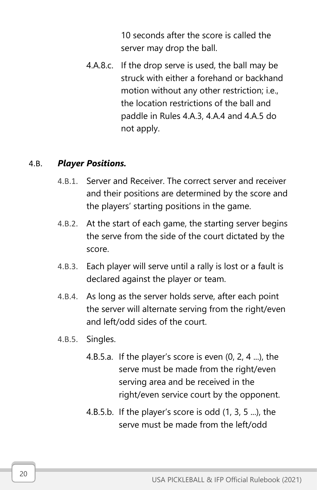10 seconds after the score is called the server may drop the ball.

4.A.8.c. If the drop serve is used, the ball may be struck with either a forehand or backhand motion without any other restriction; i.e., the location restrictions of the ball and paddle in Rules 4.A.3, 4.A.4 and 4.A.5 do not apply.

#### 4.B. *Player Positions.*

- 4.B.1. Server and Receiver. The correct server and receiver and their positions are determined by the score and the players' starting positions in the game.
- 4.B.2. At the start of each game, the starting server begins the serve from the side of the court dictated by the score.
- 4.B.3. Each player will serve until a rally is lost or a fault is declared against the player or team.
- 4.B.4. As long as the server holds serve, after each point the server will alternate serving from the right/even and left/odd sides of the court.
- 4.B.5. Singles.
	- 4.B.5.a. If the player's score is even (0, 2, 4 ...), the serve must be made from the right/even serving area and be received in the right/even service court by the opponent.
	- 4.B.5.b. If the player's score is odd (1, 3, 5 ...), the serve must be made from the left/odd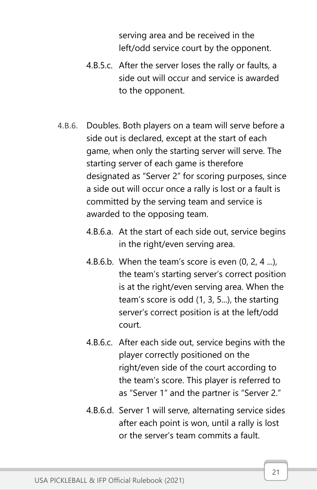serving area and be received in the left/odd service court by the opponent.

- 4.B.5.c. After the server loses the rally or faults, a side out will occur and service is awarded to the opponent.
- 4.B.6. Doubles. Both players on a team will serve before a side out is declared, except at the start of each game, when only the starting server will serve. The starting server of each game is therefore designated as "Server 2" for scoring purposes, since a side out will occur once a rally is lost or a fault is committed by the serving team and service is awarded to the opposing team.
	- 4.B.6.a. At the start of each side out, service begins in the right/even serving area.
	- 4.B.6.b. When the team's score is even  $(0, 2, 4, \ldots)$ , the team's starting server's correct position is at the right/even serving area. When the team's score is odd (1, 3, 5...), the starting server's correct position is at the left/odd court.
	- 4.B.6.c. After each side out, service begins with the player correctly positioned on the right/even side of the court according to the team's score. This player is referred to as "Server 1" and the partner is "Server 2."
	- 4.B.6.d. Server 1 will serve, alternating service sides after each point is won, until a rally is lost or the server's team commits a fault.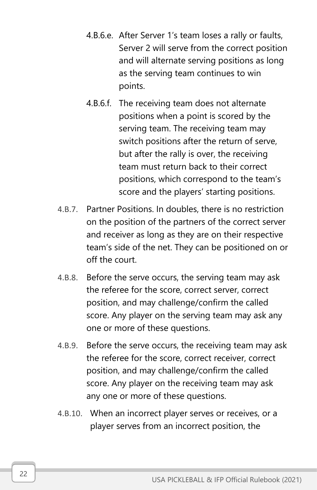- 4.B.6.e. After Server 1's team loses a rally or faults, Server 2 will serve from the correct position and will alternate serving positions as long as the serving team continues to win points.
- 4.B.6.f. The receiving team does not alternate positions when a point is scored by the serving team. The receiving team may switch positions after the return of serve, but after the rally is over, the receiving team must return back to their correct positions, which correspond to the team's score and the players' starting positions.
- 4.B.7. Partner Positions. In doubles, there is no restriction on the position of the partners of the correct server and receiver as long as they are on their respective team's side of the net. They can be positioned on or off the court.
- 4.B.8. Before the serve occurs, the serving team may ask the referee for the score, correct server, correct position, and may challenge/confirm the called score. Any player on the serving team may ask any one or more of these questions.
- 4.B.9. Before the serve occurs, the receiving team may ask the referee for the score, correct receiver, correct position, and may challenge/confirm the called score. Any player on the receiving team may ask any one or more of these questions.
- 4.B.10. When an incorrect player serves or receives, or a player serves from an incorrect position, the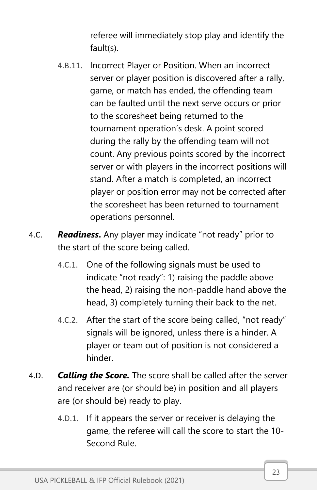referee will immediately stop play and identify the fault(s).

- 4.B.11. Incorrect Player or Position. When an incorrect server or player position is discovered after a rally, game, or match has ended, the offending team can be faulted until the next serve occurs or prior to the scoresheet being returned to the tournament operation's desk. A point scored during the rally by the offending team will not count. Any previous points scored by the incorrect server or with players in the incorrect positions will stand. After a match is completed, an incorrect player or position error may not be corrected after the scoresheet has been returned to tournament operations personnel.
- 4.C. *Readiness***.** Any player may indicate "not ready" prior to the start of the score being called.
	- 4.C.1. One of the following signals must be used to indicate "not ready": 1) raising the paddle above the head, 2) raising the non-paddle hand above the head, 3) completely turning their back to the net.
	- 4.C.2. After the start of the score being called, "not ready" signals will be ignored, unless there is a hinder. A player or team out of position is not considered a hinder.
- 4.D. *Calling the Score.* The score shall be called after the server and receiver are (or should be) in position and all players are (or should be) ready to play.
	- 4.D.1. If it appears the server or receiver is delaying the game, the referee will call the score to start the 10- Second Rule.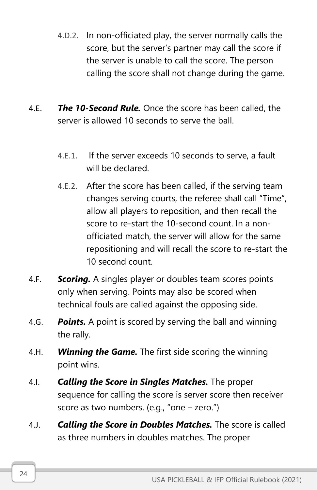- 4.D.2. In non-officiated play, the server normally calls the score, but the server's partner may call the score if the server is unable to call the score. The person calling the score shall not change during the game.
- 4.E. *The 10-Second Rule.* Once the score has been called, the server is allowed 10 seconds to serve the ball.
	- 4.E.1. If the server exceeds 10 seconds to serve, a fault will be declared.
	- 4.E.2. After the score has been called, if the serving team changes serving courts, the referee shall call "Time", allow all players to reposition, and then recall the score to re-start the 10-second count. In a nonofficiated match, the server will allow for the same repositioning and will recall the score to re-start the 10 second count.
- 4.F. *Scoring.* A singles player or doubles team scores points only when serving. Points may also be scored when technical fouls are called against the opposing side.
- 4.G. *Points.* A point is scored by serving the ball and winning the rally.
- 4.H. *Winning the Game.* The first side scoring the winning point wins.
- 4.I. *Calling the Score in Singles Matches.* The proper sequence for calling the score is server score then receiver score as two numbers. (e.g., "one – zero.")
- 4.J. *Calling the Score in Doubles Matches.* The score is called as three numbers in doubles matches. The proper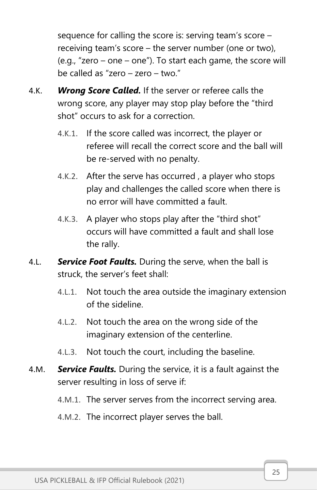sequence for calling the score is: serving team's score – receiving team's score – the server number (one or two), (e.g., "zero – one – one"). To start each game, the score will be called as "zero – zero – two."

- 4.K. *Wrong Score Called.* If the server or referee calls the wrong score, any player may stop play before the "third shot" occurs to ask for a correction.
	- 4.K.1. If the score called was incorrect, the player or referee will recall the correct score and the ball will be re-served with no penalty.
	- 4.K.2. After the serve has occurred , a player who stops play and challenges the called score when there is no error will have committed a fault.
	- 4.K.3. A player who stops play after the "third shot" occurs will have committed a fault and shall lose the rally.
- 4.L. *Service Foot Faults.* During the serve, when the ball is struck, the server's feet shall:
	- 4.L.1. Not touch the area outside the imaginary extension of the sideline.
	- 4.L.2. Not touch the area on the wrong side of the imaginary extension of the centerline.
	- 4.L.3. Not touch the court, including the baseline.
- 4.M. *Service Faults.* During the service, it is a fault against the server resulting in loss of serve if:
	- 4.M.1. The server serves from the incorrect serving area.
	- 4.M.2. The incorrect player serves the ball.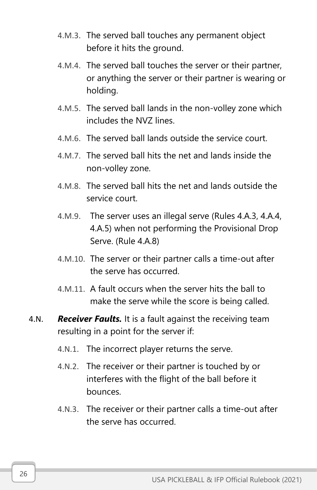- 4.M.3. The served ball touches any permanent object before it hits the ground.
- 4.M.4. The served ball touches the server or their partner, or anything the server or their partner is wearing or holding.
- 4.M.5. The served ball lands in the non-volley zone which includes the NVZ lines.
- 4.M.6. The served ball lands outside the service court.
- 4.M.7. The served ball hits the net and lands inside the non-volley zone.
- 4.M.8. The served ball hits the net and lands outside the service court.
- 4.M.9. The server uses an illegal serve (Rules 4.A.3, 4.A.4, 4.A.5) when not performing the Provisional Drop Serve. (Rule 4.A.8)
- 4.M.10. The server or their partner calls a time-out after the serve has occurred.
- 4.M.11. A fault occurs when the server hits the ball to make the serve while the score is being called.
- 4.N. *Receiver Faults.* It is a fault against the receiving team resulting in a point for the server if:
	- 4.N.1. The incorrect player returns the serve.
	- 4.N.2. The receiver or their partner is touched by or interferes with the flight of the ball before it bounces.
	- 4.N.3. The receiver or their partner calls a time-out after the serve has occurred.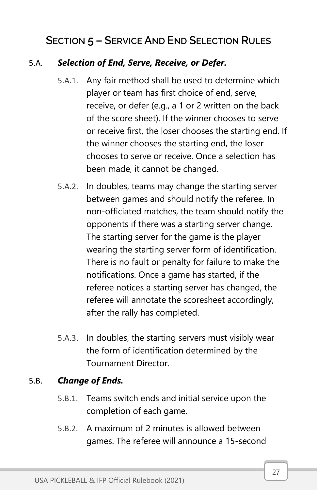## <span id="page-32-0"></span>SECTION 5 – SERVICE AND END SELECTION RULES

#### 5.A. *Selection of End, Serve, Receive, or Defer.*

- 5.A.1. Any fair method shall be used to determine which player or team has first choice of end, serve, receive, or defer (e.g., a 1 or 2 written on the back of the score sheet). If the winner chooses to serve or receive first, the loser chooses the starting end. If the winner chooses the starting end, the loser chooses to serve or receive. Once a selection has been made, it cannot be changed.
- 5.A.2. In doubles, teams may change the starting server between games and should notify the referee. In non-officiated matches, the team should notify the opponents if there was a starting server change. The starting server for the game is the player wearing the starting server form of identification. There is no fault or penalty for failure to make the notifications. Once a game has started, if the referee notices a starting server has changed, the referee will annotate the scoresheet accordingly, after the rally has completed.
- 5.A.3. In doubles, the starting servers must visibly wear the form of identification determined by the Tournament Director.

#### 5.B. *Change of Ends.*

- 5.B.1. Teams switch ends and initial service upon the completion of each game.
- 5.B.2. A maximum of 2 minutes is allowed between games. The referee will announce a 15-second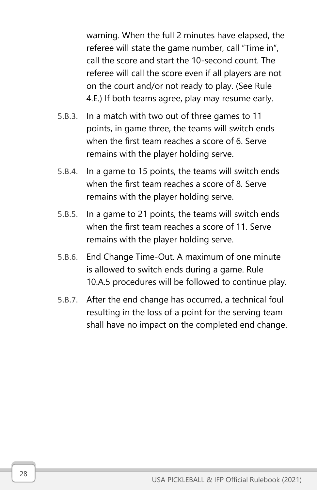warning. When the full 2 minutes have elapsed, the referee will state the game number, call "Time in", call the score and start the 10-second count. The referee will call the score even if all players are not on the court and/or not ready to play. (See Rule 4.E.) If both teams agree, play may resume early.

- 5.B.3. In a match with two out of three games to 11 points, in game three, the teams will switch ends when the first team reaches a score of 6. Serve remains with the player holding serve.
- 5.B.4. In a game to 15 points, the teams will switch ends when the first team reaches a score of 8. Serve remains with the player holding serve.
- 5.B.5. In a game to 21 points, the teams will switch ends when the first team reaches a score of 11. Serve remains with the player holding serve.
- 5.B.6. End Change Time-Out. A maximum of one minute is allowed to switch ends during a game. Rule 10.A.5 procedures will be followed to continue play.
- 5.B.7. After the end change has occurred, a technical foul resulting in the loss of a point for the serving team shall have no impact on the completed end change.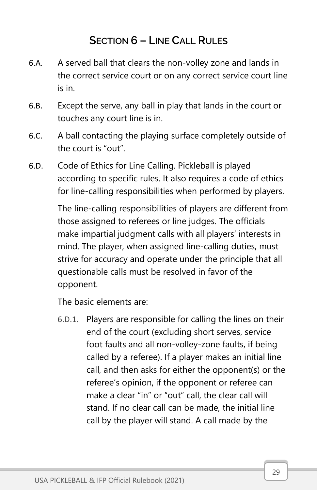## SECTION 6 – LINE CALL RULES

- <span id="page-34-0"></span>6.A. A served ball that clears the non-volley zone and lands in the correct service court or on any correct service court line is in.
- 6.B. Except the serve, any ball in play that lands in the court or touches any court line is in.
- 6.C. A ball contacting the playing surface completely outside of the court is "out".
- 6.D. Code of Ethics for Line Calling. Pickleball is played according to specific rules. It also requires a code of ethics for line-calling responsibilities when performed by players.

The line-calling responsibilities of players are different from those assigned to referees or line judges. The officials make impartial judgment calls with all players' interests in mind. The player, when assigned line-calling duties, must strive for accuracy and operate under the principle that all questionable calls must be resolved in favor of the opponent.

The basic elements are:

6.D.1. Players are responsible for calling the lines on their end of the court (excluding short serves, service foot faults and all non-volley-zone faults, if being called by a referee). If a player makes an initial line call, and then asks for either the opponent(s) or the referee's opinion, if the opponent or referee can make a clear "in" or "out" call, the clear call will stand. If no clear call can be made, the initial line call by the player will stand. A call made by the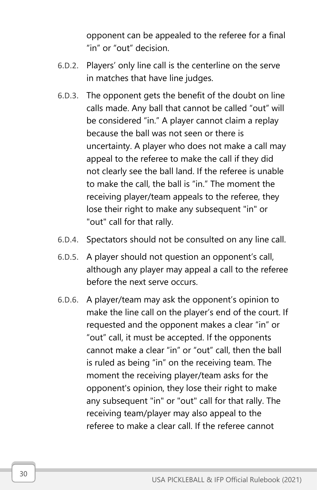opponent can be appealed to the referee for a final "in" or "out" decision.

- 6.D.2. Players' only line call is the centerline on the serve in matches that have line judges.
- 6.D.3. The opponent gets the benefit of the doubt on line calls made. Any ball that cannot be called "out" will be considered "in." A player cannot claim a replay because the ball was not seen or there is uncertainty. A player who does not make a call may appeal to the referee to make the call if they did not clearly see the ball land. If the referee is unable to make the call, the ball is "in." The moment the receiving player/team appeals to the referee, they lose their right to make any subsequent "in" or "out" call for that rally.
- 6.D.4. Spectators should not be consulted on any line call.
- 6.D.5. A player should not question an opponent's call, although any player may appeal a call to the referee before the next serve occurs.
- 6.D.6. A player/team may ask the opponent's opinion to make the line call on the player's end of the court. If requested and the opponent makes a clear "in" or "out" call, it must be accepted. If the opponents cannot make a clear "in" or "out" call, then the ball is ruled as being "in" on the receiving team. The moment the receiving player/team asks for the opponent's opinion, they lose their right to make any subsequent "in" or "out" call for that rally. The receiving team/player may also appeal to the referee to make a clear call. If the referee cannot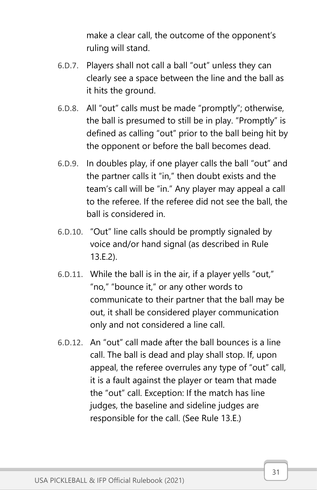make a clear call, the outcome of the opponent's ruling will stand.

- 6.D.7. Players shall not call a ball "out" unless they can clearly see a space between the line and the ball as it hits the ground.
- 6.D.8. All "out" calls must be made "promptly"; otherwise, the ball is presumed to still be in play. "Promptly" is defined as calling "out" prior to the ball being hit by the opponent or before the ball becomes dead.
- 6.D.9. In doubles play, if one player calls the ball "out" and the partner calls it "in," then doubt exists and the team's call will be "in." Any player may appeal a call to the referee. If the referee did not see the ball, the ball is considered in.
- 6.D.10. "Out" line calls should be promptly signaled by voice and/or hand signal (as described in Rule 13.E.2).
- 6.D.11. While the ball is in the air, if a player yells "out," "no," "bounce it," or any other words to communicate to their partner that the ball may be out, it shall be considered player communication only and not considered a line call.
- 6.D.12. An "out" call made after the ball bounces is a line call. The ball is dead and play shall stop. If, upon appeal, the referee overrules any type of "out" call, it is a fault against the player or team that made the "out" call. Exception: If the match has line judges, the baseline and sideline judges are responsible for the call. (See Rule 13.E.)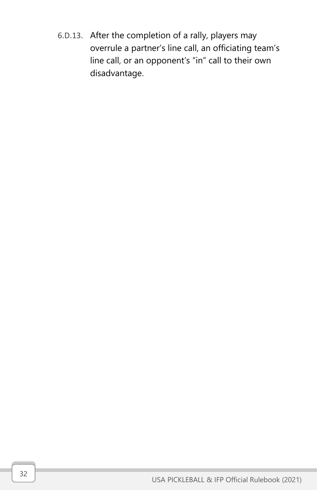6.D.13. After the completion of a rally, players may overrule a partner's line call, an officiating team's line call, or an opponent's "in" call to their own disadvantage.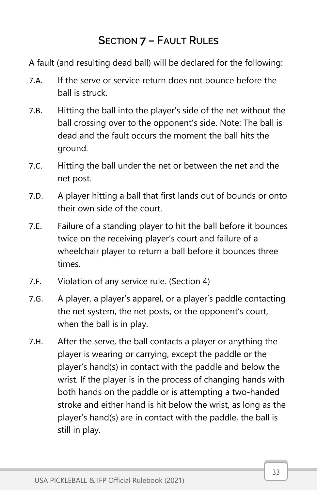# SECTION 7 – FAULT RULES

A fault (and resulting dead ball) will be declared for the following:

- 7.A. If the serve or service return does not bounce before the ball is struck.
- 7.B. Hitting the ball into the player's side of the net without the ball crossing over to the opponent's side. Note: The ball is dead and the fault occurs the moment the ball hits the ground.
- 7.C. Hitting the ball under the net or between the net and the net post.
- 7.D. A player hitting a ball that first lands out of bounds or onto their own side of the court.
- 7.E. Failure of a standing player to hit the ball before it bounces twice on the receiving player's court and failure of a wheelchair player to return a ball before it bounces three times.
- 7.F. Violation of any service rule. (Section 4)
- 7.G. A player, a player's apparel, or a player's paddle contacting the net system, the net posts, or the opponent's court, when the ball is in play.
- 7.H. After the serve, the ball contacts a player or anything the player is wearing or carrying, except the paddle or the player's hand(s) in contact with the paddle and below the wrist. If the player is in the process of changing hands with both hands on the paddle or is attempting a two-handed stroke and either hand is hit below the wrist, as long as the player's hand(s) are in contact with the paddle, the ball is still in play.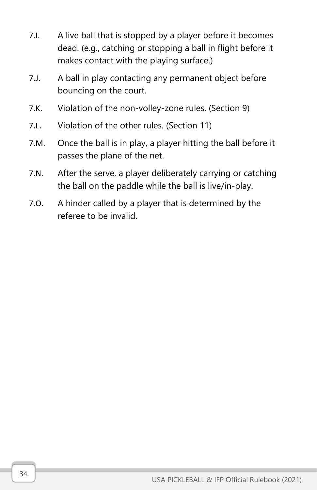- 7.I. A live ball that is stopped by a player before it becomes dead. (e.g., catching or stopping a ball in flight before it makes contact with the playing surface.)
- 7.J. A ball in play contacting any permanent object before bouncing on the court.
- 7.K. Violation of the non-volley-zone rules. (Section 9)
- 7.L. Violation of the other rules. (Section 11)
- 7.M. Once the ball is in play, a player hitting the ball before it passes the plane of the net.
- 7.N. After the serve, a player deliberately carrying or catching the ball on the paddle while the ball is live/in-play.
- 7.O. A hinder called by a player that is determined by the referee to be invalid.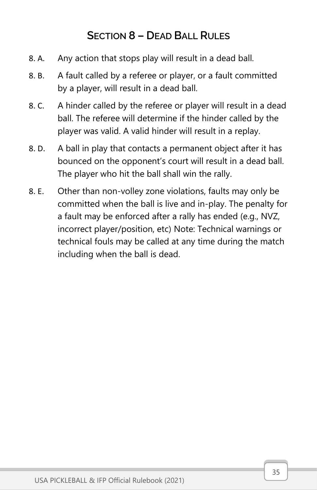# SECTION 8 – DEAD BALL RULES

- 8. A. Any action that stops play will result in a dead ball.
- 8. B. A fault called by a referee or player, or a fault committed by a player, will result in a dead ball.
- 8. C. A hinder called by the referee or player will result in a dead ball. The referee will determine if the hinder called by the player was valid. A valid hinder will result in a replay.
- 8. D. A ball in play that contacts a permanent object after it has bounced on the opponent's court will result in a dead ball. The player who hit the ball shall win the rally.
- 8. E. Other than non-volley zone violations, faults may only be committed when the ball is live and in-play. The penalty for a fault may be enforced after a rally has ended (e.g., NVZ, incorrect player/position, etc) Note: Technical warnings or technical fouls may be called at any time during the match including when the ball is dead.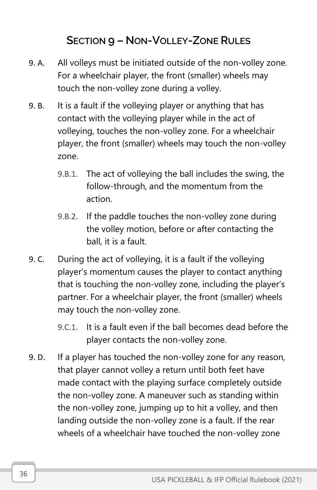# SECTION 9 – NON-VOLLEY-ZONE RULES

- 9. A. All volleys must be initiated outside of the non-volley zone. For a wheelchair player, the front (smaller) wheels may touch the non-volley zone during a volley.
- 9. B. It is a fault if the volleying player or anything that has contact with the volleying player while in the act of volleying, touches the non-volley zone. For a wheelchair player, the front (smaller) wheels may touch the non-volley zone.
	- 9.B.1. The act of volleying the ball includes the swing, the follow-through, and the momentum from the action.
	- 9.B.2. If the paddle touches the non-volley zone during the volley motion, before or after contacting the ball, it is a fault.
- 9. C. During the act of volleying, it is a fault if the volleying player's momentum causes the player to contact anything that is touching the non-volley zone, including the player's partner. For a wheelchair player, the front (smaller) wheels may touch the non-volley zone.
	- 9.C.1. It is a fault even if the ball becomes dead before the player contacts the non-volley zone.
- 9. D. If a player has touched the non-volley zone for any reason, that player cannot volley a return until both feet have made contact with the playing surface completely outside the non-volley zone. A maneuver such as standing within the non-volley zone, jumping up to hit a volley, and then landing outside the non-volley zone is a fault. If the rear wheels of a wheelchair have touched the non-volley zone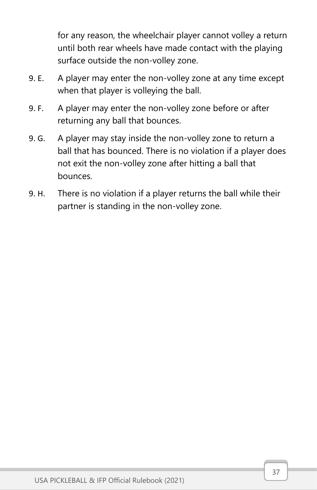for any reason, the wheelchair player cannot volley a return until both rear wheels have made contact with the playing surface outside the non-volley zone.

- 9. E. A player may enter the non-volley zone at any time except when that player is volleying the ball.
- 9. F. A player may enter the non-volley zone before or after returning any ball that bounces.
- 9. G. A player may stay inside the non-volley zone to return a ball that has bounced. There is no violation if a player does not exit the non-volley zone after hitting a ball that bounces.
- 9. H. There is no violation if a player returns the ball while their partner is standing in the non-volley zone.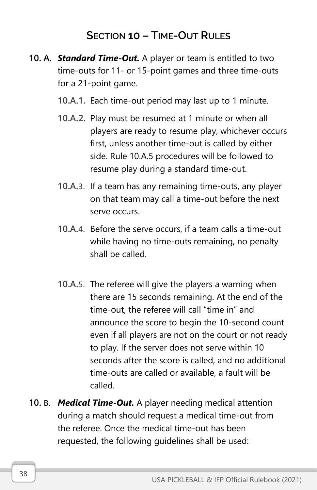## SECTION 10 – TIME-OUT RULES

- 10. A. *Standard Time-Out.* A player or team is entitled to two time-outs for 11- or 15-point games and three time-outs for a 21-point game.
	- 10.A.1. Each time-out period may last up to 1 minute.
	- 10.A.2. Play must be resumed at 1 minute or when all players are ready to resume play, whichever occurs first, unless another time-out is called by either side. Rule 10.A.5 procedures will be followed to resume play during a standard time-out.
	- 10.A.3. If a team has any remaining time-outs, any player on that team may call a time-out before the next serve occurs.
	- 10.A.4. Before the serve occurs, if a team calls a time-out while having no time-outs remaining, no penalty shall be called.
	- 10.A.5. The referee will give the players a warning when there are 15 seconds remaining. At the end of the time-out, the referee will call "time in" and announce the score to begin the 10-second count even if all players are not on the court or not ready to play. If the server does not serve within 10 seconds after the score is called, and no additional time-outs are called or available, a fault will be called.
- 10. B. *Medical Time-Out.* A player needing medical attention during a match should request a medical time-out from the referee. Once the medical time-out has been requested, the following guidelines shall be used: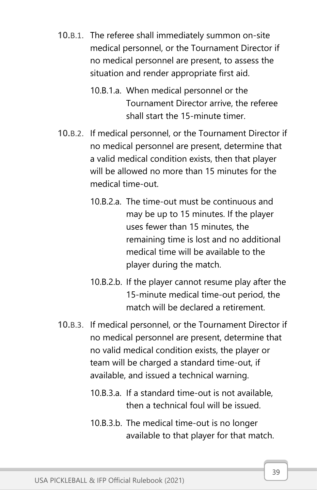- 10.B.1. The referee shall immediately summon on-site medical personnel, or the Tournament Director if no medical personnel are present, to assess the situation and render appropriate first aid.
	- 10.B.1.a. When medical personnel or the Tournament Director arrive, the referee shall start the 15-minute timer.
- 10.B.2. If medical personnel, or the Tournament Director if no medical personnel are present, determine that a valid medical condition exists, then that player will be allowed no more than 15 minutes for the medical time-out.
	- 10.B.2.a. The time-out must be continuous and may be up to 15 minutes. If the player uses fewer than 15 minutes, the remaining time is lost and no additional medical time will be available to the player during the match.
	- 10.B.2.b. If the player cannot resume play after the 15-minute medical time-out period, the match will be declared a retirement.
- 10.B.3. If medical personnel, or the Tournament Director if no medical personnel are present, determine that no valid medical condition exists, the player or team will be charged a standard time-out, if available, and issued a technical warning.
	- 10.B.3.a. If a standard time-out is not available, then a technical foul will be issued.
	- 10.B.3.b. The medical time-out is no longer available to that player for that match.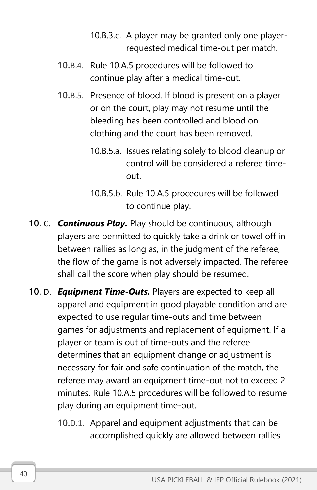- 10.B.3.c. A player may be granted only one playerrequested medical time-out per match.
- 10.B.4. Rule 10.A.5 procedures will be followed to continue play after a medical time-out.
- 10.B.5. Presence of blood. If blood is present on a player or on the court, play may not resume until the bleeding has been controlled and blood on clothing and the court has been removed.
	- 10.B.5.a. Issues relating solely to blood cleanup or control will be considered a referee timeout.
	- 10.B.5.b. Rule 10.A.5 procedures will be followed to continue play.
- 10. C. *Continuous Play.* Play should be continuous, although players are permitted to quickly take a drink or towel off in between rallies as long as, in the judgment of the referee, the flow of the game is not adversely impacted. The referee shall call the score when play should be resumed.
- 10. D. *Equipment Time-Outs.* Players are expected to keep all apparel and equipment in good playable condition and are expected to use regular time-outs and time between games for adjustments and replacement of equipment. If a player or team is out of time-outs and the referee determines that an equipment change or adjustment is necessary for fair and safe continuation of the match, the referee may award an equipment time-out not to exceed 2 minutes. Rule 10.A.5 procedures will be followed to resume play during an equipment time-out.
	- 10.D.1. Apparel and equipment adjustments that can be accomplished quickly are allowed between rallies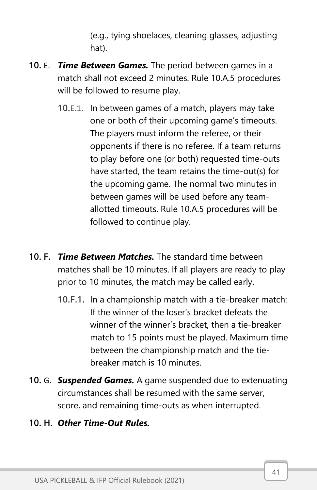(e.g., tying shoelaces, cleaning glasses, adjusting hat).

- 10. E. *Time Between Games.* The period between games in a match shall not exceed 2 minutes. Rule 10.A.5 procedures will be followed to resume play.
	- 10.E.1. In between games of a match, players may take one or both of their upcoming game's timeouts. The players must inform the referee, or their opponents if there is no referee. If a team returns to play before one (or both) requested time-outs have started, the team retains the time-out(s) for the upcoming game. The normal two minutes in between games will be used before any teamallotted timeouts. Rule 10.A.5 procedures will be followed to continue play.
- 10. F. *Time Between Matches.* The standard time between matches shall be 10 minutes. If all players are ready to play prior to 10 minutes, the match may be called early.
	- 10.F.1. In a championship match with a tie-breaker match: If the winner of the loser's bracket defeats the winner of the winner's bracket, then a tie-breaker match to 15 points must be played. Maximum time between the championship match and the tiebreaker match is 10 minutes.
- 10. G. *Suspended Games.* A game suspended due to extenuating circumstances shall be resumed with the same server, score, and remaining time-outs as when interrupted.

### 10. H. *Other Time-Out Rules.*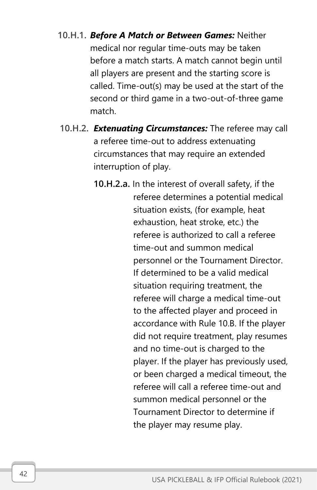- 10.H.1. *Before A Match or Between Games:* Neither medical nor regular time-outs may be taken before a match starts. A match cannot begin until all players are present and the starting score is called. Time-out(s) may be used at the start of the second or third game in a two-out-of-three game match.
- 10.H.2. *Extenuating Circumstances:* The referee may call a referee time-out to address extenuating circumstances that may require an extended interruption of play.
	- 10.H.2.a. In the interest of overall safety, if the referee determines a potential medical situation exists, (for example, heat exhaustion, heat stroke, etc.) the referee is authorized to call a referee time-out and summon medical personnel or the Tournament Director. If determined to be a valid medical situation requiring treatment, the referee will charge a medical time-out to the affected player and proceed in accordance with Rule 10.B. If the player did not require treatment, play resumes and no time-out is charged to the player. If the player has previously used, or been charged a medical timeout, the referee will call a referee time-out and summon medical personnel or the Tournament Director to determine if the player may resume play.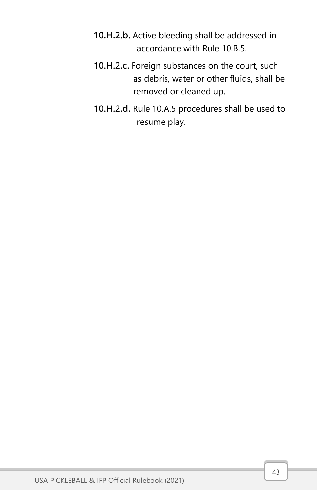- 10.H.2.b. Active bleeding shall be addressed in accordance with Rule 10.B.5.
- 10.H.2.c. Foreign substances on the court, such as debris, water or other fluids, shall be removed or cleaned up.
- 10.H.2.d. Rule 10.A.5 procedures shall be used to resume play.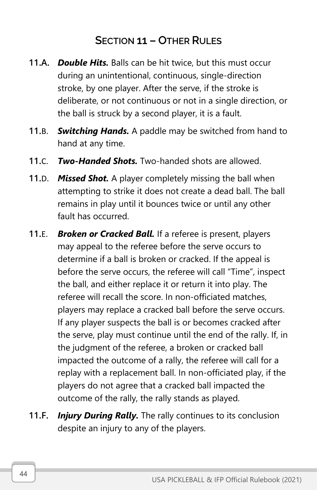## SECTION 11 – OTHER RULES

- 11.A. *Double Hits.* Balls can be hit twice, but this must occur during an unintentional, continuous, single-direction stroke, by one player. After the serve, if the stroke is deliberate, or not continuous or not in a single direction, or the ball is struck by a second player, it is a fault.
- 11.B. *Switching Hands.* A paddle may be switched from hand to hand at any time.
- 11.C. *Two-Handed Shots.* Two-handed shots are allowed.
- 11.D. *Missed Shot.* A player completely missing the ball when attempting to strike it does not create a dead ball. The ball remains in play until it bounces twice or until any other fault has occurred.
- 11.E. *Broken or Cracked Ball.* If a referee is present, players may appeal to the referee before the serve occurs to determine if a ball is broken or cracked. If the appeal is before the serve occurs, the referee will call "Time", inspect the ball, and either replace it or return it into play. The referee will recall the score. In non-officiated matches, players may replace a cracked ball before the serve occurs. If any player suspects the ball is or becomes cracked after the serve, play must continue until the end of the rally. If, in the judgment of the referee, a broken or cracked ball impacted the outcome of a rally, the referee will call for a replay with a replacement ball. In non-officiated play, if the players do not agree that a cracked ball impacted the outcome of the rally, the rally stands as played.
- 11.F. *Injury During Rally.* The rally continues to its conclusion despite an injury to any of the players.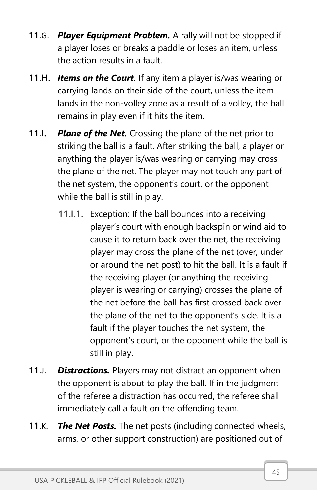- 11.G. *Player Equipment Problem.* A rally will not be stopped if a player loses or breaks a paddle or loses an item, unless the action results in a fault.
- 11.H. *Items on the Court.* If any item a player is/was wearing or carrying lands on their side of the court, unless the item lands in the non-volley zone as a result of a volley, the ball remains in play even if it hits the item.
- 11.I. *Plane of the Net.* Crossing the plane of the net prior to striking the ball is a fault. After striking the ball, a player or anything the player is/was wearing or carrying may cross the plane of the net. The player may not touch any part of the net system, the opponent's court, or the opponent while the ball is still in play.
	- 11.I.1. Exception: If the ball bounces into a receiving player's court with enough backspin or wind aid to cause it to return back over the net, the receiving player may cross the plane of the net (over, under or around the net post) to hit the ball. It is a fault if the receiving player (or anything the receiving player is wearing or carrying) crosses the plane of the net before the ball has first crossed back over the plane of the net to the opponent's side. It is a fault if the player touches the net system, the opponent's court, or the opponent while the ball is still in play.
- 11.J. *Distractions.* Players may not distract an opponent when the opponent is about to play the ball. If in the judgment of the referee a distraction has occurred, the referee shall immediately call a fault on the offending team.
- 11.K. *The Net Posts.* The net posts (including connected wheels, arms, or other support construction) are positioned out of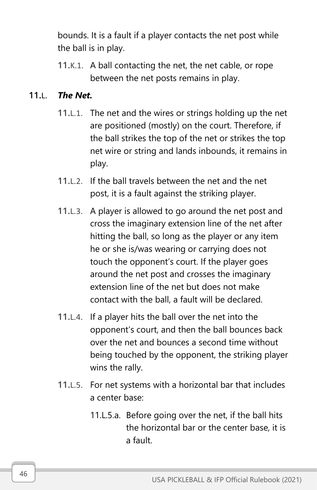bounds. It is a fault if a player contacts the net post while the ball is in play.

11.K.1. A ball contacting the net, the net cable, or rope between the net posts remains in play.

### 11.L. *The Net.*

- 11.L.1. The net and the wires or strings holding up the net are positioned (mostly) on the court. Therefore, if the ball strikes the top of the net or strikes the top net wire or string and lands inbounds, it remains in play.
- 11.L.2. If the ball travels between the net and the net post, it is a fault against the striking player.
- 11.L.3. A player is allowed to go around the net post and cross the imaginary extension line of the net after hitting the ball, so long as the player or any item he or she is/was wearing or carrying does not touch the opponent's court. If the player goes around the net post and crosses the imaginary extension line of the net but does not make contact with the ball, a fault will be declared.
- 11.L.4. If a player hits the ball over the net into the opponent's court, and then the ball bounces back over the net and bounces a second time without being touched by the opponent, the striking player wins the rally.
- 11.L.5. For net systems with a horizontal bar that includes a center base:
	- 11.L.5.a. Before going over the net, if the ball hits the horizontal bar or the center base, it is a fault.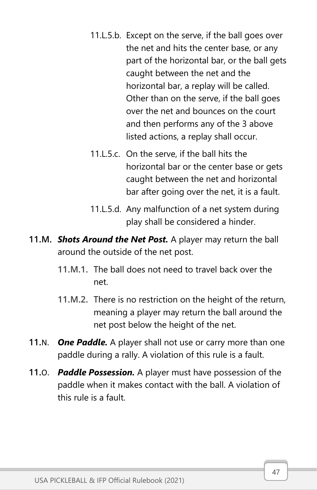- 11.L.5.b. Except on the serve, if the ball goes over the net and hits the center base, or any part of the horizontal bar, or the ball gets caught between the net and the horizontal bar, a replay will be called. Other than on the serve, if the ball goes over the net and bounces on the court and then performs any of the 3 above listed actions, a replay shall occur.
- 11.L.5.c. On the serve, if the ball hits the horizontal bar or the center base or gets caught between the net and horizontal bar after going over the net, it is a fault.
- 11.L.5.d. Any malfunction of a net system during play shall be considered a hinder.
- 11.M. *Shots Around the Net Post.* A player may return the ball around the outside of the net post.
	- 11.M.1. The ball does not need to travel back over the net.
	- 11.M.2. There is no restriction on the height of the return, meaning a player may return the ball around the net post below the height of the net.
- 11.N. *One Paddle.* A player shall not use or carry more than one paddle during a rally. A violation of this rule is a fault.
- 11.O. *Paddle Possession.* A player must have possession of the paddle when it makes contact with the ball. A violation of this rule is a fault.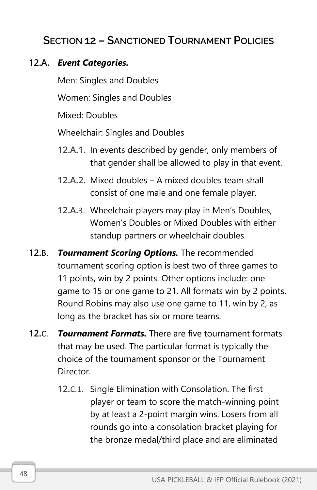## SECTION 12 – SANCTIONED TOURNAMENT POLICIES

#### 12.A. *Event Categories.*

Men: Singles and Doubles

Women: Singles and Doubles

Mixed: Doubles

Wheelchair: Singles and Doubles

- 12.A.1. In events described by gender, only members of that gender shall be allowed to play in that event.
- 12.A.2. Mixed doubles A mixed doubles team shall consist of one male and one female player.
- 12.A.3. Wheelchair players may play in Men's Doubles, Women's Doubles or Mixed Doubles with either standup partners or wheelchair doubles.
- 12.B. *Tournament Scoring Options.* The recommended tournament scoring option is best two of three games to 11 points, win by 2 points. Other options include: one game to 15 or one game to 21. All formats win by 2 points. Round Robins may also use one game to 11, win by 2, as long as the bracket has six or more teams.
- 12.C. *Tournament Formats.* There are five tournament formats that may be used. The particular format is typically the choice of the tournament sponsor or the Tournament Director.
	- 12.C.1. Single Elimination with Consolation. The first player or team to score the match-winning point by at least a 2-point margin wins. Losers from all rounds go into a consolation bracket playing for the bronze medal/third place and are eliminated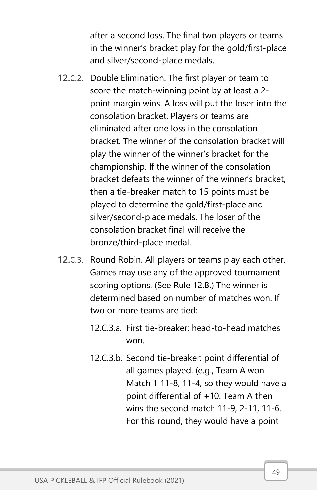after a second loss. The final two players or teams in the winner's bracket play for the gold/first-place and silver/second-place medals.

- 12.C.2. Double Elimination. The first player or team to score the match-winning point by at least a 2 point margin wins. A loss will put the loser into the consolation bracket. Players or teams are eliminated after one loss in the consolation bracket. The winner of the consolation bracket will play the winner of the winner's bracket for the championship. If the winner of the consolation bracket defeats the winner of the winner's bracket, then a tie-breaker match to 15 points must be played to determine the gold/first-place and silver/second-place medals. The loser of the consolation bracket final will receive the bronze/third-place medal.
- 12.C.3. Round Robin. All players or teams play each other. Games may use any of the approved tournament scoring options. (See Rule 12.B.) The winner is determined based on number of matches won. If two or more teams are tied:
	- 12.C.3.a. First tie-breaker: head-to-head matches won.
	- 12.C.3.b. Second tie-breaker: point differential of all games played. (e.g., Team A won Match 1 11-8, 11-4, so they would have a point differential of +10. Team A then wins the second match 11-9, 2-11, 11-6. For this round, they would have a point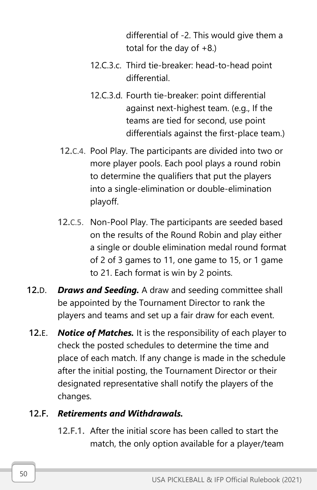differential of -2. This would give them a total for the day of  $+8$ .)

- 12.C.3.c. Third tie-breaker: head-to-head point differential.
- 12.C.3.d. Fourth tie-breaker: point differential against next-highest team. (e.g., If the teams are tied for second, use point differentials against the first-place team.)
- 12.C.4. Pool Play. The participants are divided into two or more player pools. Each pool plays a round robin to determine the qualifiers that put the players into a single-elimination or double-elimination playoff.
- 12.C.5. Non-Pool Play. The participants are seeded based on the results of the Round Robin and play either a single or double elimination medal round format of 2 of 3 games to 11, one game to 15, or 1 game to 21. Each format is win by 2 points.
- 12.D. *Draws and Seeding.* A draw and seeding committee shall be appointed by the Tournament Director to rank the players and teams and set up a fair draw for each event.
- 12.E. *Notice of Matches.* It is the responsibility of each player to check the posted schedules to determine the time and place of each match. If any change is made in the schedule after the initial posting, the Tournament Director or their designated representative shall notify the players of the changes.

### 12.F. *Retirements and Withdrawals.*

12.F.1. After the initial score has been called to start the match, the only option available for a player/team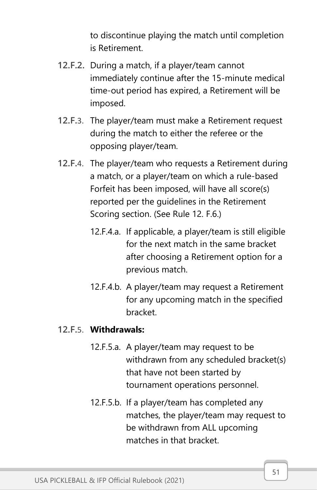to discontinue playing the match until completion is Retirement.

- 12.F.2. During a match, if a player/team cannot immediately continue after the 15-minute medical time-out period has expired, a Retirement will be imposed.
- 12.F.3. The player/team must make a Retirement request during the match to either the referee or the opposing player/team.
- 12.F.4. The player/team who requests a Retirement during a match, or a player/team on which a rule-based Forfeit has been imposed, will have all score(s) reported per the guidelines in the Retirement Scoring section. (See Rule 12. F.6.)
	- 12.F.4.a. If applicable, a player/team is still eligible for the next match in the same bracket after choosing a Retirement option for a previous match.
	- 12.F.4.b. A player/team may request a Retirement for any upcoming match in the specified bracket.

#### 12.F.5. **Withdrawals:**

- 12.F.5.a. A player/team may request to be withdrawn from any scheduled bracket(s) that have not been started by tournament operations personnel.
- 12.F.5.b. If a player/team has completed any matches, the player/team may request to be withdrawn from ALL upcoming matches in that bracket.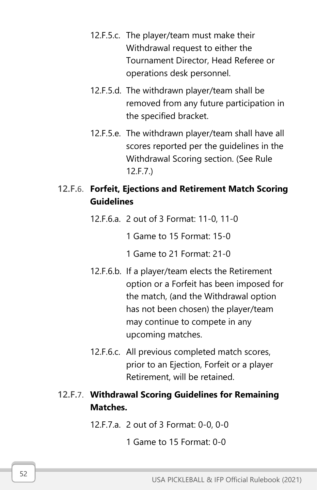- 12.F.5.c. The player/team must make their Withdrawal request to either the Tournament Director, Head Referee or operations desk personnel.
- 12.F.5.d. The withdrawn player/team shall be removed from any future participation in the specified bracket.
- 12.F.5.e. The withdrawn player/team shall have all scores reported per the guidelines in the Withdrawal Scoring section. (See Rule 12.F.7.)

### 12.F.6. **Forfeit, Ejections and Retirement Match Scoring Guidelines**

- 12.F.6.a. 2 out of 3 Format: 11-0, 11-0
	- 1 Game to 15 Format: 15-0
	- 1 Game to 21 Format: 21-0
- 12.F.6.b. If a player/team elects the Retirement option or a Forfeit has been imposed for the match, (and the Withdrawal option has not been chosen) the player/team may continue to compete in any upcoming matches.
- 12.F.6.c. All previous completed match scores, prior to an Ejection, Forfeit or a player Retirement, will be retained.

### 12.F.7. **Withdrawal Scoring Guidelines for Remaining Matches.**

- 12.F.7.a. 2 out of 3 Format: 0-0, 0-0
	- 1 Game to 15 Format: 0-0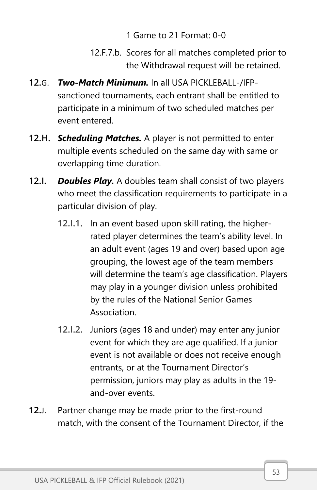### 1 Game to 21 Format: 0-0

- 12.F.7.b. Scores for all matches completed prior to the Withdrawal request will be retained.
- 12.G. *Two-Match Minimum.* In all USA PICKLEBALL-/IFPsanctioned tournaments, each entrant shall be entitled to participate in a minimum of two scheduled matches per event entered.
- 12.H. *Scheduling Matches.* A player is not permitted to enter multiple events scheduled on the same day with same or overlapping time duration.
- 12.I. *Doubles Play.* A doubles team shall consist of two players who meet the classification requirements to participate in a particular division of play.
	- 12.I.1. In an event based upon skill rating, the higherrated player determines the team's ability level. In an adult event (ages 19 and over) based upon age grouping, the lowest age of the team members will determine the team's age classification. Players may play in a younger division unless prohibited by the rules of the National Senior Games Association.
	- 12.I.2. Juniors (ages 18 and under) may enter any junior event for which they are age qualified. If a junior event is not available or does not receive enough entrants, or at the Tournament Director's permission, juniors may play as adults in the 19 and-over events.
- 12.J. Partner change may be made prior to the first-round match, with the consent of the Tournament Director, if the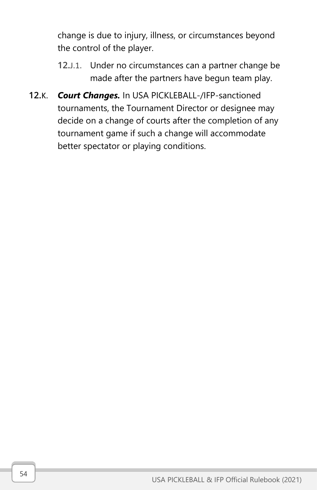change is due to injury, illness, or circumstances beyond the control of the player.

- 12.J.1. Under no circumstances can a partner change be made after the partners have begun team play.
- 12.K. *Court Changes.* In USA PICKLEBALL-/IFP-sanctioned tournaments, the Tournament Director or designee may decide on a change of courts after the completion of any tournament game if such a change will accommodate better spectator or playing conditions.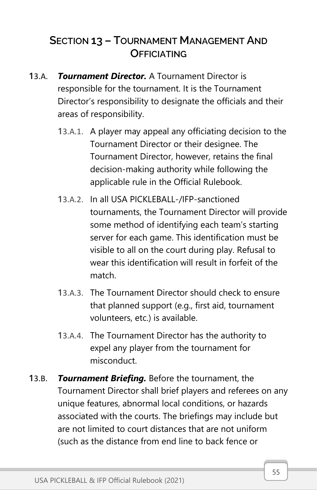# SECTION 13 – TOURNAMENT MANAGEMENT AND **OFFICIATING**

- 13.A. *Tournament Director.* A Tournament Director is responsible for the tournament. It is the Tournament Director's responsibility to designate the officials and their areas of responsibility.
	- 13.A.1. A player may appeal any officiating decision to the Tournament Director or their designee. The Tournament Director, however, retains the final decision-making authority while following the applicable rule in the Official Rulebook.
	- 13.A.2. In all USA PICKLEBALL-/IFP-sanctioned tournaments, the Tournament Director will provide some method of identifying each team's starting server for each game. This identification must be visible to all on the court during play. Refusal to wear this identification will result in forfeit of the match.
	- 13.A.3. The Tournament Director should check to ensure that planned support (e.g., first aid, tournament volunteers, etc.) is available.
	- 13.A.4. The Tournament Director has the authority to expel any player from the tournament for misconduct.
- 13.B. *Tournament Briefing.* Before the tournament, the Tournament Director shall brief players and referees on any unique features, abnormal local conditions, or hazards associated with the courts. The briefings may include but are not limited to court distances that are not uniform (such as the distance from end line to back fence or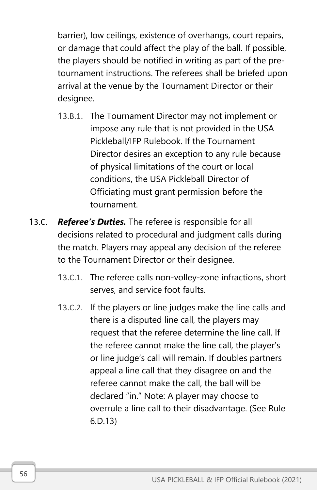barrier), low ceilings, existence of overhangs, court repairs, or damage that could affect the play of the ball. If possible, the players should be notified in writing as part of the pretournament instructions. The referees shall be briefed upon arrival at the venue by the Tournament Director or their designee.

- 13.B.1. The Tournament Director may not implement or impose any rule that is not provided in the USA Pickleball/IFP Rulebook. If the Tournament Director desires an exception to any rule because of physical limitations of the court or local conditions, the USA Pickleball Director of Officiating must grant permission before the tournament.
- 13.C. *Referee's Duties.* The referee is responsible for all decisions related to procedural and judgment calls during the match. Players may appeal any decision of the referee to the Tournament Director or their designee.
	- 13.C.1. The referee calls non-volley-zone infractions, short serves, and service foot faults.
	- 13.C.2. If the players or line judges make the line calls and there is a disputed line call, the players may request that the referee determine the line call. If the referee cannot make the line call, the player's or line judge's call will remain. If doubles partners appeal a line call that they disagree on and the referee cannot make the call, the ball will be declared "in." Note: A player may choose to overrule a line call to their disadvantage. (See Rule 6.D.13)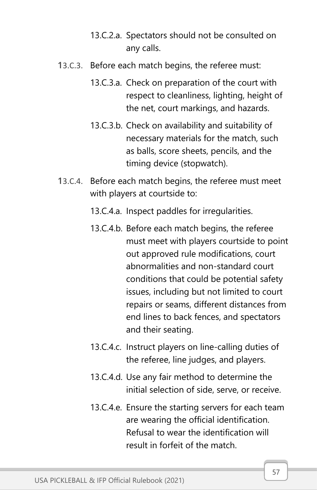- 13.C.2.a. Spectators should not be consulted on any calls.
- 13.C.3. Before each match begins, the referee must:
	- 13.C.3.a. Check on preparation of the court with respect to cleanliness, lighting, height of the net, court markings, and hazards.
	- 13.C.3.b. Check on availability and suitability of necessary materials for the match, such as balls, score sheets, pencils, and the timing device (stopwatch).
- 13.C.4. Before each match begins, the referee must meet with players at courtside to:
	- 13.C.4.a. Inspect paddles for irregularities.
	- 13.C.4.b. Before each match begins, the referee must meet with players courtside to point out approved rule modifications, court abnormalities and non-standard court conditions that could be potential safety issues, including but not limited to court repairs or seams, different distances from end lines to back fences, and spectators and their seating.
	- 13.C.4.c. Instruct players on line-calling duties of the referee, line judges, and players.
	- 13.C.4.d. Use any fair method to determine the initial selection of side, serve, or receive.
	- 13.C.4.e. Ensure the starting servers for each team are wearing the official identification. Refusal to wear the identification will result in forfeit of the match.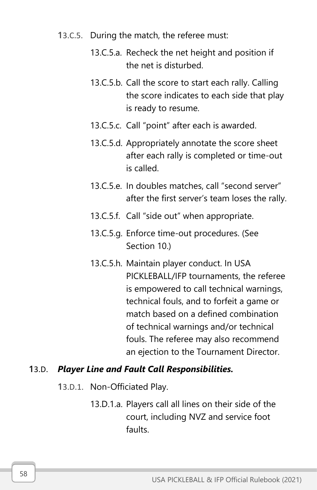- 13.C.5. During the match, the referee must:
	- 13.C.5.a. Recheck the net height and position if the net is disturbed.
	- 13.C.5.b. Call the score to start each rally. Calling the score indicates to each side that play is ready to resume.
	- 13.C.5.c. Call "point" after each is awarded.
	- 13.C.5.d. Appropriately annotate the score sheet after each rally is completed or time-out is called.
	- 13.C.5.e. In doubles matches, call "second server" after the first server's team loses the rally.
	- 13.C.5.f. Call "side out" when appropriate.
	- 13.C.5.g. Enforce time-out procedures. (See Section 10.)
	- 13.C.5.h. Maintain player conduct. In USA PICKLEBALL/IFP tournaments, the referee is empowered to call technical warnings, technical fouls, and to forfeit a game or match based on a defined combination of technical warnings and/or technical fouls. The referee may also recommend an ejection to the Tournament Director.

#### 13.D. *Player Line and Fault Call Responsibilities.*

- 13.D.1. Non-Officiated Play.
	- 13.D.1.a. Players call all lines on their side of the court, including NVZ and service foot faults.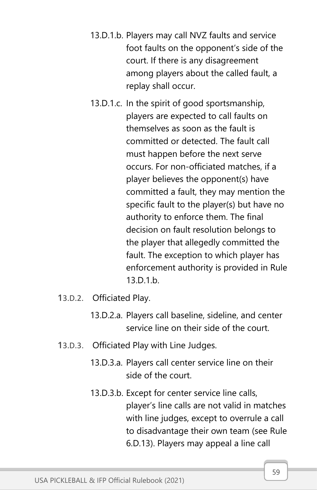- 13.D.1.b. Players may call NVZ faults and service foot faults on the opponent's side of the court. If there is any disagreement among players about the called fault, a replay shall occur.
- 13.D.1.c. In the spirit of good sportsmanship, players are expected to call faults on themselves as soon as the fault is committed or detected. The fault call must happen before the next serve occurs. For non-officiated matches, if a player believes the opponent(s) have committed a fault, they may mention the specific fault to the player(s) but have no authority to enforce them. The final decision on fault resolution belongs to the player that allegedly committed the fault. The exception to which player has enforcement authority is provided in Rule 13.D.1.b.
- 13.D.2. Officiated Play.
	- 13.D.2.a. Players call baseline, sideline, and center service line on their side of the court.
- 13.D.3. Officiated Play with Line Judges.
	- 13.D.3.a. Players call center service line on their side of the court.
	- 13.D.3.b. Except for center service line calls, player's line calls are not valid in matches with line judges, except to overrule a call to disadvantage their own team (see Rule 6.D.13). Players may appeal a line call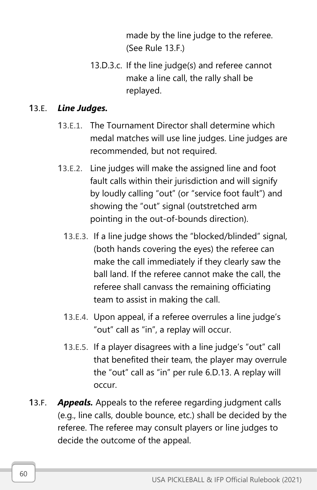made by the line judge to the referee. (See Rule 13.F.)

13.D.3.c. If the line judge(s) and referee cannot make a line call, the rally shall be replayed.

#### 13.E. *Line Judges.*

- 13.E.1. The Tournament Director shall determine which medal matches will use line judges. Line judges are recommended, but not required.
- 13.E.2. Line judges will make the assigned line and foot fault calls within their jurisdiction and will signify by loudly calling "out" (or "service foot fault") and showing the "out" signal (outstretched arm pointing in the out-of-bounds direction).
	- 13.E.3. If a line judge shows the "blocked/blinded" signal, (both hands covering the eyes) the referee can make the call immediately if they clearly saw the ball land. If the referee cannot make the call, the referee shall canvass the remaining officiating team to assist in making the call.
	- 13.E.4. Upon appeal, if a referee overrules a line judge's "out" call as "in", a replay will occur.
	- 13.E.5. If a player disagrees with a line judge's "out" call that benefited their team, the player may overrule the "out" call as "in" per rule 6.D.13. A replay will occur.
- 13.F. *Appeals.* Appeals to the referee regarding judgment calls (e.g., line calls, double bounce, etc.) shall be decided by the referee. The referee may consult players or line judges to decide the outcome of the appeal.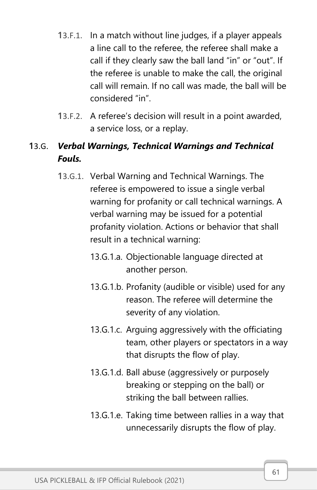- 13.F.1. In a match without line judges, if a player appeals a line call to the referee, the referee shall make a call if they clearly saw the ball land "in" or "out". If the referee is unable to make the call, the original call will remain. If no call was made, the ball will be considered "in".
- 13.F.2. A referee's decision will result in a point awarded, a service loss, or a replay.

### 13.G. *Verbal Warnings, Technical Warnings and Technical Fouls.*

- 13.G.1. Verbal Warning and Technical Warnings. The referee is empowered to issue a single verbal warning for profanity or call technical warnings. A verbal warning may be issued for a potential profanity violation. Actions or behavior that shall result in a technical warning:
	- 13.G.1.a. Objectionable language directed at another person.
	- 13.G.1.b. Profanity (audible or visible) used for any reason. The referee will determine the severity of any violation.
	- 13.G.1.c. Arguing aggressively with the officiating team, other players or spectators in a way that disrupts the flow of play.
	- 13.G.1.d. Ball abuse (aggressively or purposely breaking or stepping on the ball) or striking the ball between rallies.
	- 13.G.1.e. Taking time between rallies in a way that unnecessarily disrupts the flow of play.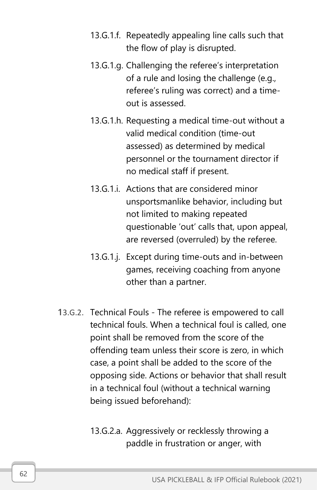- 13.G.1.f. Repeatedly appealing line calls such that the flow of play is disrupted.
- 13.G.1.g. Challenging the referee's interpretation of a rule and losing the challenge (e.g., referee's ruling was correct) and a timeout is assessed.
- 13.G.1.h. Requesting a medical time-out without a valid medical condition (time-out assessed) as determined by medical personnel or the tournament director if no medical staff if present.
- 13.G.1.i. Actions that are considered minor unsportsmanlike behavior, including but not limited to making repeated questionable 'out' calls that, upon appeal, are reversed (overruled) by the referee.
- 13.G.1.j. Except during time-outs and in-between games, receiving coaching from anyone other than a partner.
- 13.G.2. Technical Fouls The referee is empowered to call technical fouls. When a technical foul is called, one point shall be removed from the score of the offending team unless their score is zero, in which case, a point shall be added to the score of the opposing side. Actions or behavior that shall result in a technical foul (without a technical warning being issued beforehand):
	- 13.G.2.a. Aggressively or recklessly throwing a paddle in frustration or anger, with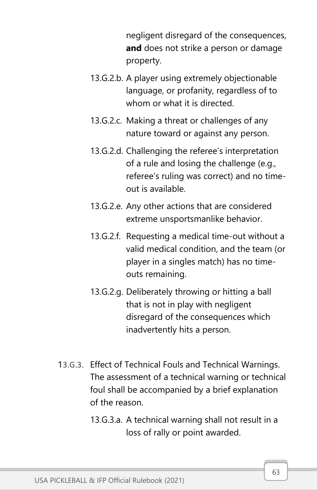negligent disregard of the consequences, **and** does not strike a person or damage property.

- 13.G.2.b. A player using extremely objectionable language, or profanity, regardless of to whom or what it is directed.
- 13.G.2.c. Making a threat or challenges of any nature toward or against any person.
- 13.G.2.d. Challenging the referee's interpretation of a rule and losing the challenge (e.g., referee's ruling was correct) and no timeout is available.
- 13.G.2.e. Any other actions that are considered extreme unsportsmanlike behavior.
- 13.G.2.f. Requesting a medical time-out without a valid medical condition, and the team (or player in a singles match) has no timeouts remaining.
- 13.G.2.g. Deliberately throwing or hitting a ball that is not in play with negligent disregard of the consequences which inadvertently hits a person.
- 13.G.3. Effect of Technical Fouls and Technical Warnings. The assessment of a technical warning or technical foul shall be accompanied by a brief explanation of the reason.
	- 13.G.3.a. A technical warning shall not result in a loss of rally or point awarded.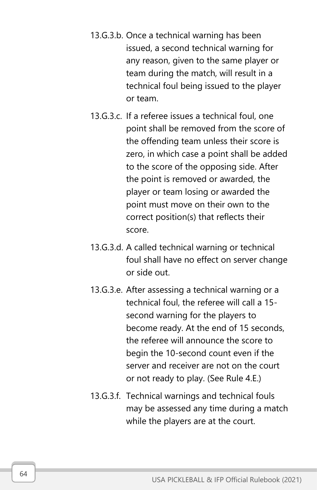- 13.G.3.b. Once a technical warning has been issued, a second technical warning for any reason, given to the same player or team during the match, will result in a technical foul being issued to the player or team.
- 13.G.3.c. If a referee issues a technical foul, one point shall be removed from the score of the offending team unless their score is zero, in which case a point shall be added to the score of the opposing side. After the point is removed or awarded, the player or team losing or awarded the point must move on their own to the correct position(s) that reflects their score.
- 13.G.3.d. A called technical warning or technical foul shall have no effect on server change or side out.
- 13.G.3.e. After assessing a technical warning or a technical foul, the referee will call a 15 second warning for the players to become ready. At the end of 15 seconds, the referee will announce the score to begin the 10-second count even if the server and receiver are not on the court or not ready to play. (See Rule 4.E.)
- 13.G.3.f. Technical warnings and technical fouls may be assessed any time during a match while the players are at the court.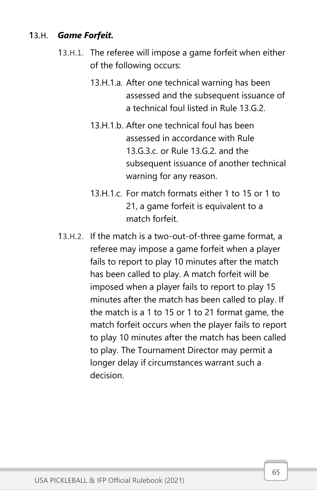#### 13.H. *Game Forfeit.*

- 13.H.1. The referee will impose a game forfeit when either of the following occurs:
	- 13.H.1.a. After one technical warning has been assessed and the subsequent issuance of a technical foul listed in Rule 13.G.2.
	- 13.H.1.b. After one technical foul has been assessed in accordance with Rule 13.G.3.c. or Rule 13.G.2. and the subsequent issuance of another technical warning for any reason.
	- 13.H.1.c. For match formats either 1 to 15 or 1 to 21, a game forfeit is equivalent to a match forfeit.
- 13.H.2. If the match is a two-out-of-three game format, a referee may impose a game forfeit when a player fails to report to play 10 minutes after the match has been called to play. A match forfeit will be imposed when a player fails to report to play 15 minutes after the match has been called to play. If the match is a 1 to 15 or 1 to 21 format game, the match forfeit occurs when the player fails to report to play 10 minutes after the match has been called to play. The Tournament Director may permit a longer delay if circumstances warrant such a decision.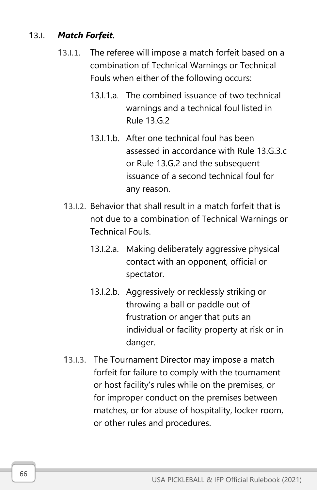#### 13.I. *Match Forfeit.*

- 13.I.1. The referee will impose a match forfeit based on a combination of Technical Warnings or Technical Fouls when either of the following occurs:
	- 13.I.1.a. The combined issuance of two technical warnings and a technical foul listed in Rule 13.G.2
	- 13.I.1.b. After one technical foul has been assessed in accordance with Rule 13.G.3.c or Rule 13.G.2 and the subsequent issuance of a second technical foul for any reason.
	- 13.I.2. Behavior that shall result in a match forfeit that is not due to a combination of Technical Warnings or Technical Fouls.
		- 13.I.2.a. Making deliberately aggressive physical contact with an opponent, official or spectator.
		- 13.I.2.b. Aggressively or recklessly striking or throwing a ball or paddle out of frustration or anger that puts an individual or facility property at risk or in danger.
	- 13.I.3. The Tournament Director may impose a match forfeit for failure to comply with the tournament or host facility's rules while on the premises, or for improper conduct on the premises between matches, or for abuse of hospitality, locker room, or other rules and procedures.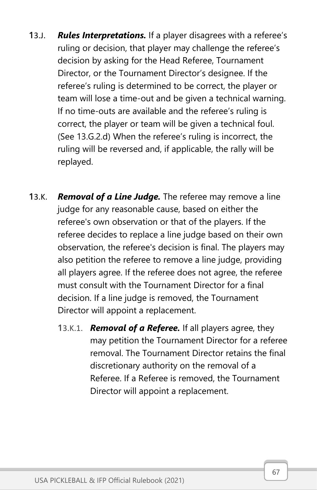- 13.J. *Rules Interpretations.* If a player disagrees with a referee's ruling or decision, that player may challenge the referee's decision by asking for the Head Referee, Tournament Director, or the Tournament Director's designee. If the referee's ruling is determined to be correct, the player or team will lose a time-out and be given a technical warning. If no time-outs are available and the referee's ruling is correct, the player or team will be given a technical foul. (See 13.G.2.d) When the referee's ruling is incorrect, the ruling will be reversed and, if applicable, the rally will be replayed.
- 13.K. *Removal of a Line Judge.* The referee may remove a line judge for any reasonable cause, based on either the referee's own observation or that of the players. If the referee decides to replace a line judge based on their own observation, the referee's decision is final. The players may also petition the referee to remove a line judge, providing all players agree. If the referee does not agree, the referee must consult with the Tournament Director for a final decision. If a line judge is removed, the Tournament Director will appoint a replacement.
	- 13.K.1. *Removal of a Referee.* If all players agree, they may petition the Tournament Director for a referee removal. The Tournament Director retains the final discretionary authority on the removal of a Referee. If a Referee is removed, the Tournament Director will appoint a replacement.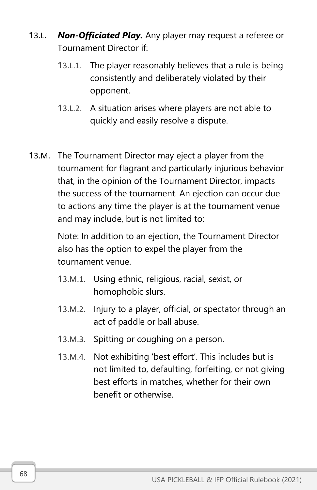- 13.L. *Non-Officiated Play.* Any player may request a referee or Tournament Director if:
	- 13.L.1. The player reasonably believes that a rule is being consistently and deliberately violated by their opponent.
	- 13.L.2. A situation arises where players are not able to quickly and easily resolve a dispute.
- 13.M. The Tournament Director may eject a player from the tournament for flagrant and particularly injurious behavior that, in the opinion of the Tournament Director, impacts the success of the tournament. An ejection can occur due to actions any time the player is at the tournament venue and may include, but is not limited to:

Note: In addition to an ejection, the Tournament Director also has the option to expel the player from the tournament venue.

- 13.M.1. Using ethnic, religious, racial, sexist, or homophobic slurs.
- 13.M.2. Injury to a player, official, or spectator through an act of paddle or ball abuse.
- 13.M.3. Spitting or coughing on a person.
- 13.M.4. Not exhibiting 'best effort'. This includes but is not limited to, defaulting, forfeiting, or not giving best efforts in matches, whether for their own benefit or otherwise.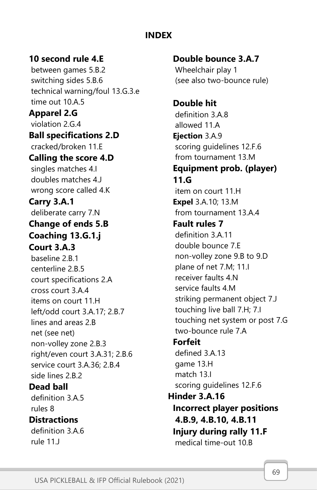## **INDEX**

## **10 second rule 4.E**

between games 5.B.2 switching sides 5.B.6 technical warning/foul 13.G.3.e time out 10.A.5 **Apparel 2.G** violation 2.G.4 **Ball specifications 2.D** cracked/broken 11.E **Calling the score 4.D** singles matches 4.I doubles matches 4.J wrong score called 4.K **Carry 3.A.1** deliberate carry 7.N **Change of ends 5.B Coaching 13.G.1.j Court 3.A.3** baseline 2.B.1 centerline 2.B.5 court specifications 2.A cross court 3.A.4 items on court 11.H left/odd court 3.A.17; 2.B.7 lines and areas 2.B net (see net) non-volley zone 2.B.3 right/even court 3.A.31; 2.B.6 service court 3.A.36; 2.B.4 side lines 2.B.2 **Dead ball**  definition 3.A.5 rules 8 **Distractions**  definition 3.A.6 rule 11.J

**Double bounce 3.A.7** Wheelchair play 1 (see also two-bounce rule)

**Double hit** definition 3.A.8 allowed 11.A **Ejection** 3.A.9 scoring guidelines 12.F.6 from tournament 13.M **Equipment prob. (player) 11.G** item on court 11.H **Expel** 3.A.10; 13.M from tournament 13.A.4 **Fault rules 7** definition 3.A.11 double bounce 7.E non-volley zone 9.B to 9.D plane of net 7.M; 11.I receiver faults 4.N service faults 4.M striking permanent object 7.J touching live ball 7.H; 7.I touching net system or post 7.G two-bounce rule 7.A **Forfeit**

defined 3.A.13 game 13.H match 13.I scoring guidelines 12.F.6 **Hinder 3.A.16 Incorrect player positions 4.B.9, 4.B.10, 4.B.11 Injury during rally 11.F**

medical time-out 10.B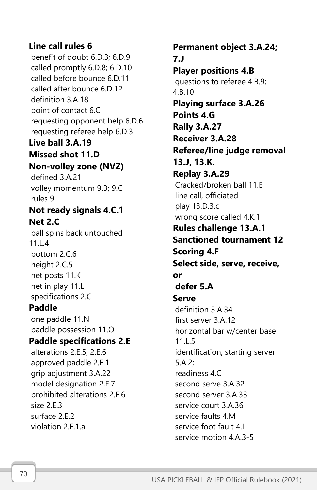## **Line call rules 6**

benefit of doubt 6.D.3; 6.D.9 called promptly 6.D.8; 6.D.10 called before bounce 6.D.11 called after bounce 6.D.12 definition 3.A.18 point of contact 6.C requesting opponent help 6.D.6 requesting referee help 6.D.3 **Live ball 3.A.19 Missed shot 11.D Non-volley zone (NVZ)** defined 3.A.21 volley momentum 9.B; 9.C rules 9 **Not ready signals 4.C.1 Net 2.C** ball spins back untouched 11.L.4 bottom 2.C.6 height 2.C.5 net posts 11.K net in play 11.L specifications 2.C **Paddle**  one paddle 11.N paddle possession 11.O **Paddle specifications 2.E** alterations 2.E.5; 2.E.6 approved paddle 2.F.1 grip adjustment 3.A.22 model designation 2.E.7 prohibited alterations 2.E.6 size 2.E.3 surface 2.E.2

**Permanent object 3.A.24; 7.J Player positions 4.B** questions to referee 4.B.9; 4.B.10 **Playing surface 3.A.26 Points 4.G Rally 3.A.27 Receiver 3.A.28 Referee/line judge removal 13.J, 13.K. Replay 3.A.29** Cracked/broken ball 11.E line call, officiated play 13.D.3.c wrong score called 4.K.1 **Rules challenge 13.A.1 Sanctioned tournament 12 Scoring 4.F Select side, serve, receive, or defer 5.A Serve** definition 3.A.34 first server 3.A.12 horizontal bar w/center base 11.L.5 identification, starting server 5.A.2; readiness 4.C second serve 3.A.32 second server 3.A.33 service court 3.A.36 service faults 4.M service foot fault 4.L service motion 4.A.3-5

violation 2.F.1.a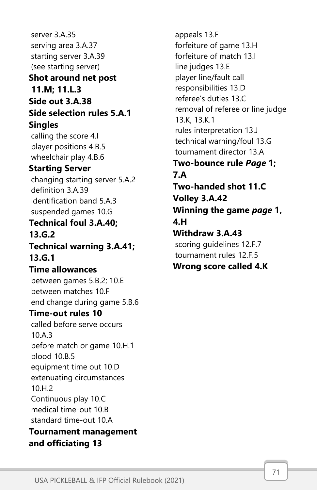server 3.A.35 serving area 3.A.37 starting server 3.A.39 (see starting server) **Shot around net post 11.M; 11.L.3 Side out 3.A.38 Side selection rules 5.A.1 Singles** calling the score 4.I player positions 4.B.5 wheelchair play 4.B.6 **Starting Server** changing starting server 5.A.2 definition 3.A.39 identification band 5.A.3 suspended games 10.G **Technical foul 3.A.40; 13.G.2 Technical warning 3.A.41; 13.G.1 Time allowances** between games 5.B.2; 10.E between matches 10.F end change during game 5.B.6 **Time-out rules 10** called before serve occurs 10.A.3 before match or game 10.H.1 blood 10.B.5 equipment time out 10.D extenuating circumstances 10.H.2 Continuous play 10.C medical time-out 10.B standard time-out 10.A **Tournament management and officiating 13**

appeals 13.F forfeiture of game 13.H forfeiture of match 13.I line judges 13.E player line/fault call responsibilities 13.D referee's duties 13.C removal of referee or line judge 13.K, 13.K.1 rules interpretation 13.J technical warning/foul 13.G tournament director 13.A **Two-bounce rule** *Page* **1; 7.A Two-handed shot 11.C Volley 3.A.42 Winning the game** *page* **1, 4.H Withdraw 3.A.43** scoring guidelines 12.F.7 tournament rules 12.F.5 **Wrong score called 4.K**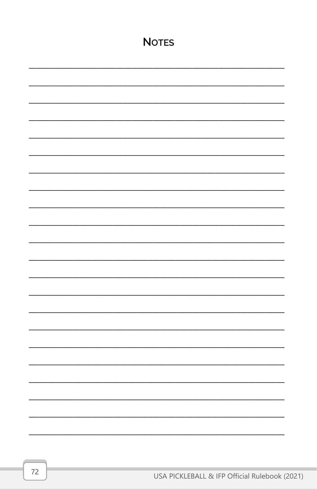| <b>NOTES</b> |  |  |
|--------------|--|--|
|              |  |  |
|              |  |  |
|              |  |  |
|              |  |  |
|              |  |  |
|              |  |  |
|              |  |  |
|              |  |  |
|              |  |  |
|              |  |  |
|              |  |  |
|              |  |  |
|              |  |  |
|              |  |  |
|              |  |  |
|              |  |  |
|              |  |  |
|              |  |  |
|              |  |  |
|              |  |  |
|              |  |  |
|              |  |  |